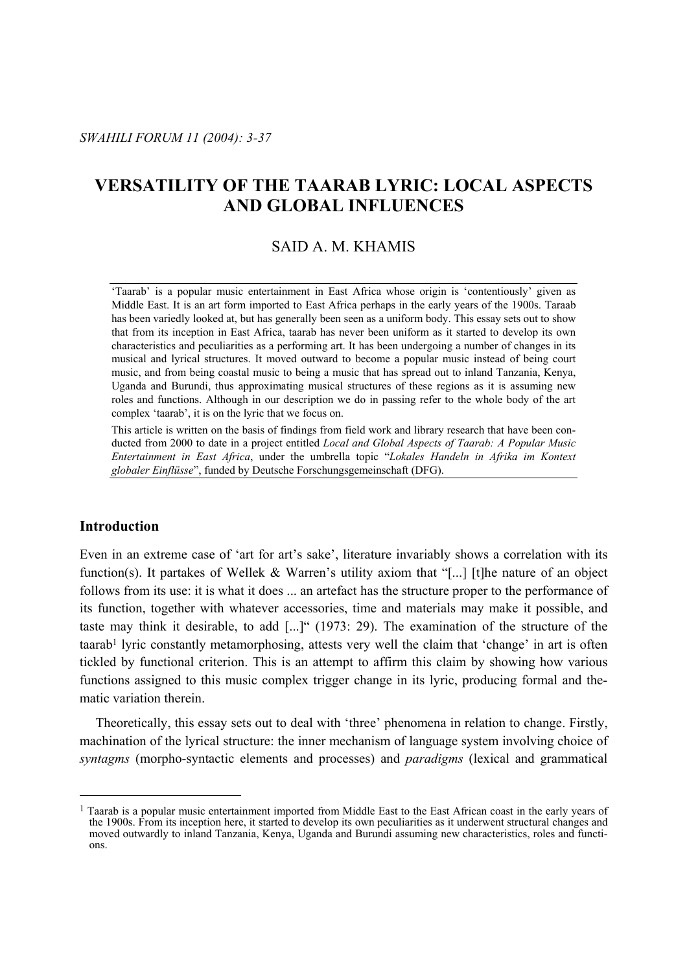# **VERSATILITY OF THE TAARAB LYRIC: LOCAL ASPECTS AND GLOBAL INFLUENCES**

# SAID A. M. KHAMIS

'Taarab' is a popular music entertainment in East Africa whose origin is 'contentiously' given as Middle East. It is an art form imported to East Africa perhaps in the early years of the 1900s. Taraab has been variedly looked at, but has generally been seen as a uniform body. This essay sets out to show that from its inception in East Africa, taarab has never been uniform as it started to develop its own characteristics and peculiarities as a performing art. It has been undergoing a number of changes in its musical and lyrical structures. It moved outward to become a popular music instead of being court music, and from being coastal music to being a music that has spread out to inland Tanzania, Kenya, Uganda and Burundi, thus approximating musical structures of these regions as it is assuming new roles and functions. Although in our description we do in passing refer to the whole body of the art complex 'taarab', it is on the lyric that we focus on.

This article is written on the basis of findings from field work and library research that have been conducted from 2000 to date in a project entitled *Local and Global Aspects of Taarab: A Popular Music Entertainment in East Africa*, under the umbrella topic "*Lokales Handeln in Afrika im Kontext globaler Einflüsse*", funded by Deutsche Forschungsgemeinschaft (DFG).

# **Introduction**

 $\overline{a}$ 

Even in an extreme case of 'art for art's sake', literature invariably shows a correlation with its function(s). It partakes of Wellek & Warren's utility axiom that "[...] [t]he nature of an object follows from its use: it is what it does ... an artefact has the structure proper to the performance of its function, together with whatever accessories, time and materials may make it possible, and taste may think it desirable, to add [...]" (1973: 29). The examination of the structure of the taarab1 lyric constantly metamorphosing, attests very well the claim that 'change' in art is often tickled by functional criterion. This is an attempt to affirm this claim by showing how various functions assigned to this music complex trigger change in its lyric, producing formal and thematic variation therein.

 Theoretically, this essay sets out to deal with 'three' phenomena in relation to change. Firstly, machination of the lyrical structure: the inner mechanism of language system involving choice of *syntagms* (morpho-syntactic elements and processes) and *paradigms* (lexical and grammatical

<sup>&</sup>lt;sup>1</sup> Taarab is a popular music entertainment imported from Middle East to the East African coast in the early years of the 1900s. From its inception here, it started to develop its own peculiarities as it underwent structural changes and moved outwardly to inland Tanzania, Kenya, Uganda and Burundi assuming new characteristics, roles and functions.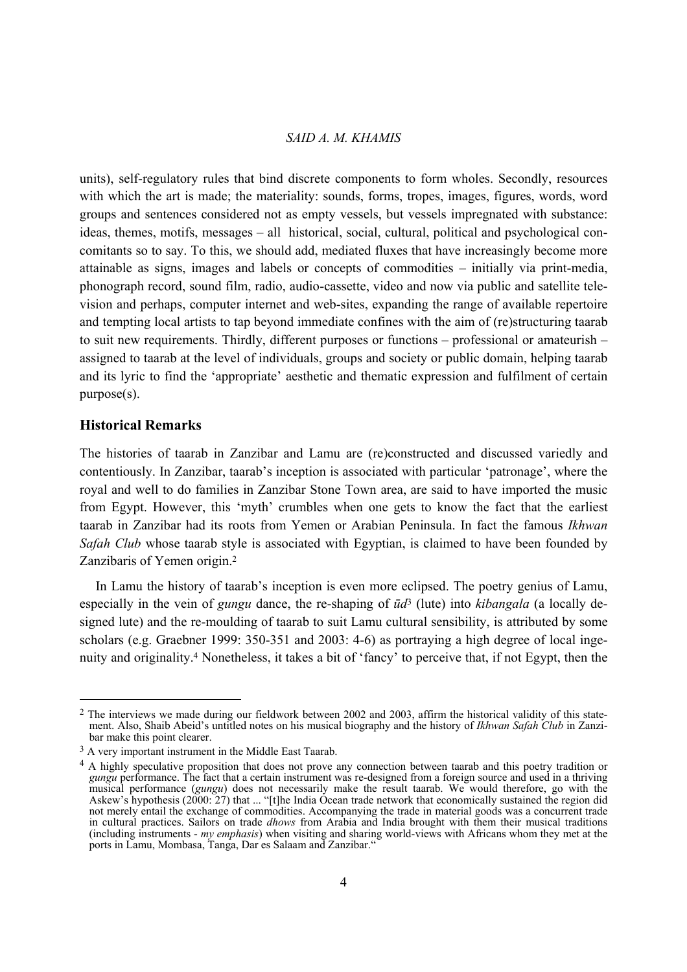units), self-regulatory rules that bind discrete components to form wholes. Secondly, resources with which the art is made; the materiality: sounds, forms, tropes, images, figures, words, word groups and sentences considered not as empty vessels, but vessels impregnated with substance: ideas, themes, motifs, messages – all historical, social, cultural, political and psychological concomitants so to say. To this, we should add, mediated fluxes that have increasingly become more attainable as signs, images and labels or concepts of commodities – initially via print-media, phonograph record, sound film, radio, audio-cassette, video and now via public and satellite television and perhaps, computer internet and web-sites, expanding the range of available repertoire and tempting local artists to tap beyond immediate confines with the aim of (re)structuring taarab to suit new requirements. Thirdly, different purposes or functions – professional or amateurish – assigned to taarab at the level of individuals, groups and society or public domain, helping taarab and its lyric to find the 'appropriate' aesthetic and thematic expression and fulfilment of certain purpose(s).

# **Historical Remarks**

l

The histories of taarab in Zanzibar and Lamu are (re)constructed and discussed variedly and contentiously. In Zanzibar, taarab's inception is associated with particular 'patronage', where the royal and well to do families in Zanzibar Stone Town area, are said to have imported the music from Egypt. However, this 'myth' crumbles when one gets to know the fact that the earliest taarab in Zanzibar had its roots from Yemen or Arabian Peninsula. In fact the famous *Ikhwan Safah Club* whose taarab style is associated with Egyptian, is claimed to have been founded by Zanzibaris of Yemen origin.2

 In Lamu the history of taarab's inception is even more eclipsed. The poetry genius of Lamu, especially in the vein of *gungu* dance, the re-shaping of *ūd*3 (lute) into *kibangala* (a locally designed lute) and the re-moulding of taarab to suit Lamu cultural sensibility, is attributed by some scholars (e.g. Graebner 1999: 350-351 and 2003: 4-6) as portraying a high degree of local ingenuity and originality.4 Nonetheless, it takes a bit of 'fancy' to perceive that, if not Egypt, then the

<sup>&</sup>lt;sup>2</sup> The interviews we made during our fieldwork between 2002 and 2003, affirm the historical validity of this statement. Also, Shaib Abeid's untitled notes on his musical biography and the history of *Ikhwan Safah Club* in Zanzibar make this point clearer.

<sup>3</sup> A very important instrument in the Middle East Taarab.

<sup>&</sup>lt;sup>4</sup> A highly speculative proposition that does not prove any connection between taarab and this poetry tradition or *gungu* performance. The fact that a certain instrument was re-designed from a foreign source and used in a thriving musical performance (*gungu*) does not necessarily make the result taarab. We would therefore, go with the Askew's hypothesis (2000: 27) that ... "[t]he India Ocean trade network that economically sustained the region did not merely entail the exchange of commodities. Accompanying the trade in material goods was a concurrent trade in cultural practices. Sailors on trade *dhows* from Arabia and India brought with them their musical traditions (including instruments - *my emphasis*) when visiting and sharing world-views with Africans whom they met at the ports in Lamu, Mombasa, Tanga, Dar es Salaam and Zanzibar."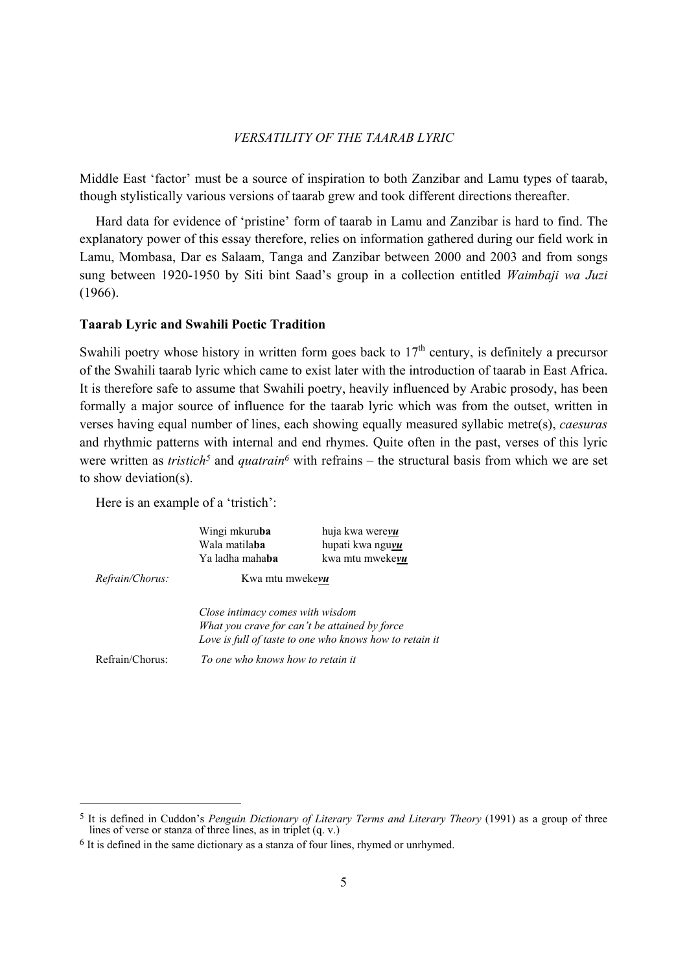Middle East 'factor' must be a source of inspiration to both Zanzibar and Lamu types of taarab, though stylistically various versions of taarab grew and took different directions thereafter.

 Hard data for evidence of 'pristine' form of taarab in Lamu and Zanzibar is hard to find. The explanatory power of this essay therefore, relies on information gathered during our field work in Lamu, Mombasa, Dar es Salaam, Tanga and Zanzibar between 2000 and 2003 and from songs sung between 1920-1950 by Siti bint Saad's group in a collection entitled *Waimbaji wa Juzi*  (1966).

### **Taarab Lyric and Swahili Poetic Tradition**

Swahili poetry whose history in written form goes back to  $17<sup>th</sup>$  century, is definitely a precursor of the Swahili taarab lyric which came to exist later with the introduction of taarab in East Africa. It is therefore safe to assume that Swahili poetry, heavily influenced by Arabic prosody, has been formally a major source of influence for the taarab lyric which was from the outset, written in verses having equal number of lines, each showing equally measured syllabic metre(s), *caesuras* and rhythmic patterns with internal and end rhymes. Quite often in the past, verses of this lyric were written as *tristich<sup>5</sup>* and *quatrain<sup>6</sup>* with refrains – the structural basis from which we are set to show deviation(s).

Here is an example of a 'tristich':

|                        | Wingi mkuruba<br>Wala matila <b>ba</b><br>Ya ladha maha <b>ba</b> | huja kwa were <b>vu</b><br>hupati kwa nguvu<br>kwa mtu mwekevu                                           |
|------------------------|-------------------------------------------------------------------|----------------------------------------------------------------------------------------------------------|
| <i>Refrain/Chorus:</i> | Kwa mtu mwekevu                                                   |                                                                                                          |
|                        | Close intimacy comes with wisdom                                  | What you crave for can't be attained by force<br>Love is full of taste to one who knows how to retain it |
| Refrain/Chorus         | To one who knows how to retain it                                 |                                                                                                          |

<sup>5</sup> It is defined in Cuddon's *Penguin Dictionary of Literary Terms and Literary Theory* (1991) as a group of three lines of verse or stanza of three lines, as in triplet (q. v.)

 $6$  It is defined in the same dictionary as a stanza of four lines, rhymed or unrhymed.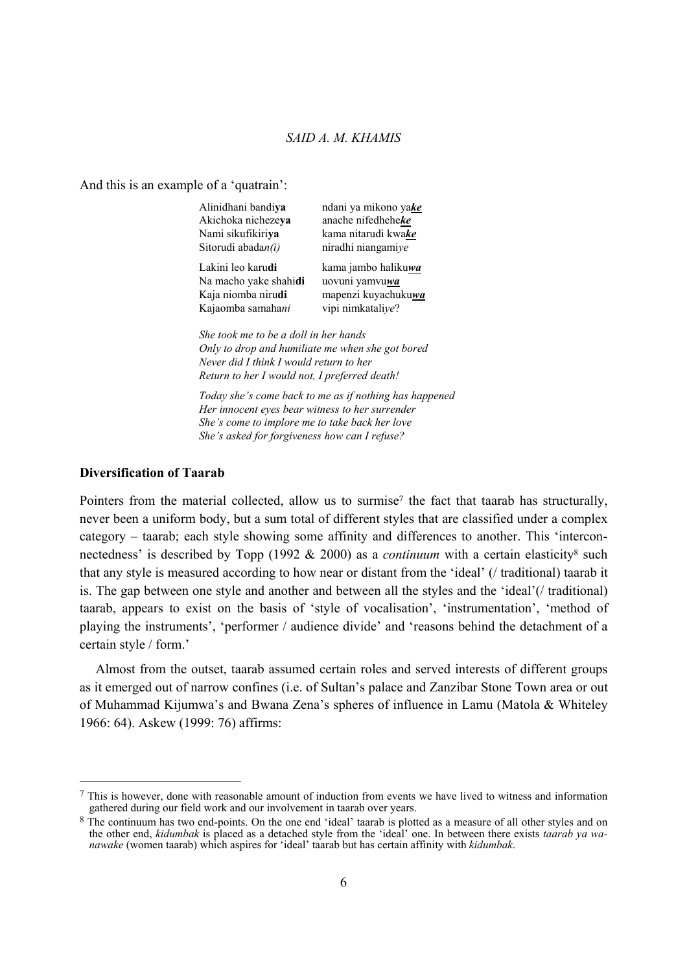And this is an example of a 'quatrain':

| Alinidhani bandiya                               | ndani ya mikono yake   |
|--------------------------------------------------|------------------------|
| Akichoka nichezeya                               | anache nifedheheke     |
| Nami sikufikiriya                                | kama nitarudi kwake    |
| Sitorudi abadan(i)                               | niradhi niangamiye     |
| Lakini leo karudi                                | kama jambo halikuwa    |
| Na macho yake shahidi                            | uovuni yamvu <b>wa</b> |
| Kaja niomba nirudi                               | mapenzi kuyachukuwa    |
| Kajaomba samahani                                | vipi nimkataliye?      |
| She took me to be a doll in her hands            |                        |
| Only to drop and humiliate me when she got bored |                        |
| Novem did I think I would notwon to have         |                        |

*Never did I think I would return to her Return to her I would not, I preferred death!* 

*Today she's come back to me as if nothing has happened Her innocent eyes bear witness to her surrender She's come to implore me to take back her love She's asked for forgiveness how can I refuse?* 

### **Diversification of Taarab**

Pointers from the material collected, allow us to surmise7 the fact that taarab has structurally, never been a uniform body, but a sum total of different styles that are classified under a complex category – taarab; each style showing some affinity and differences to another. This 'interconnectedness' is described by Topp (1992 & 2000) as a *continuum* with a certain elasticity<sup>8</sup> such that any style is measured according to how near or distant from the 'ideal' (/ traditional) taarab it is. The gap between one style and another and between all the styles and the 'ideal'(/ traditional) taarab, appears to exist on the basis of 'style of vocalisation', 'instrumentation', 'method of playing the instruments', 'performer / audience divide' and 'reasons behind the detachment of a certain style / form.'

 Almost from the outset, taarab assumed certain roles and served interests of different groups as it emerged out of narrow confines (i.e. of Sultan's palace and Zanzibar Stone Town area or out of Muhammad Kijumwa's and Bwana Zena's spheres of influence in Lamu (Matola & Whiteley 1966: 64). Askew (1999: 76) affirms:

 $<sup>7</sup>$  This is however, done with reasonable amount of induction from events we have lived to witness and information</sup> gathered during our field work and our involvement in taarab over years.

<sup>&</sup>lt;sup>8</sup> The continuum has two end-points. On the one end 'ideal' taarab is plotted as a measure of all other styles and on the other end, *kidumbak* is placed as a detached style from the 'ideal' one. In between there exists *taarab ya wanawake* (women taarab) which aspires for 'ideal' taarab but has certain affinity with *kidumbak*.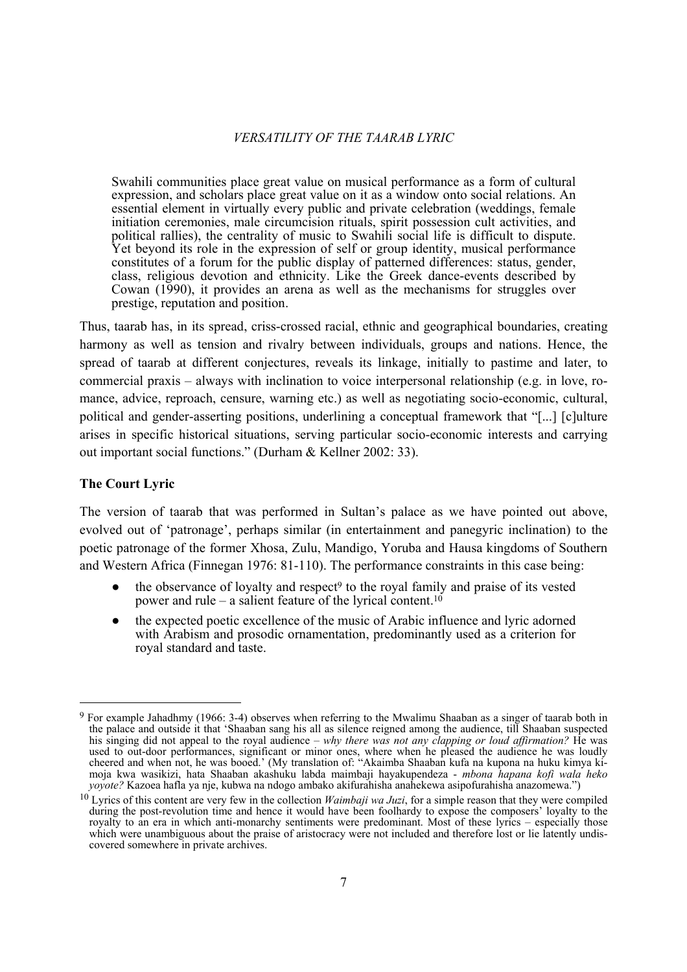Swahili communities place great value on musical performance as a form of cultural expression, and scholars place great value on it as a window onto social relations. An essential element in virtually every public and private celebration (weddings, female initiation ceremonies, male circumcision rituals, spirit possession cult activities, and political rallies), the centrality of music to Swahili social life is difficult to dispute. Yet beyond its role in the expression of self or group identity, musical performance constitutes of a forum for the public display of patterned differences: status, gender, class, religious devotion and ethnicity. Like the Greek dance-events described by Cowan (1990), it provides an arena as well as the mechanisms for struggles over prestige, reputation and position.

Thus, taarab has, in its spread, criss-crossed racial, ethnic and geographical boundaries, creating harmony as well as tension and rivalry between individuals, groups and nations. Hence, the spread of taarab at different conjectures, reveals its linkage, initially to pastime and later, to commercial praxis – always with inclination to voice interpersonal relationship (e.g. in love, romance, advice, reproach, censure, warning etc.) as well as negotiating socio-economic, cultural, political and gender-asserting positions, underlining a conceptual framework that "[...] [c]ulture arises in specific historical situations, serving particular socio-economic interests and carrying out important social functions." (Durham & Kellner 2002: 33).

### **The Court Lyric**

The version of taarab that was performed in Sultan's palace as we have pointed out above, evolved out of 'patronage', perhaps similar (in entertainment and panegyric inclination) to the poetic patronage of the former Xhosa, Zulu, Mandigo, Yoruba and Hausa kingdoms of Southern and Western Africa (Finnegan 1976: 81-110). The performance constraints in this case being:

- the observance of loyalty and respect<sup>9</sup> to the royal family and praise of its vested power and rule – a salient feature of the lyrical content.<sup>10</sup>
- the expected poetic excellence of the music of Arabic influence and lyric adorned with Arabism and prosodic ornamentation, predominantly used as a criterion for royal standard and taste.

<sup>9</sup> For example Jahadhmy (1966: 3-4) observes when referring to the Mwalimu Shaaban as a singer of taarab both in the palace and outside it that 'Shaaban sang his all as silence reigned among the audience, till Shaaban suspected his singing did not appeal to the royal audience – *why there was not any clapping or loud affirmation?* He was used to out-door performances, significant or minor ones, where when he pleased the audience he was loudly cheered and when not, he was booed.' (My translation of: "Akaimba Shaaban kufa na kupona na huku kimya kimoja kwa wasikizi, hata Shaaban akashuku labda maimbaji hayakupendeza - *mbona hapana kofi wala heko yoyote?* Kazoea hafla ya nje, kubwa na ndogo ambako akifurahisha anahekewa asipofurahisha anazomewa.")

<sup>10</sup> Lyrics of this content are very few in the collection *Waimbaji wa Juzi*, for a simple reason that they were compiled during the post-revolution time and hence it would have been foolhardy to expose the composers' loyalty to the royalty to an era in which anti-monarchy sentiments were predominant. Most of these lyrics – especially those which were unambiguous about the praise of aristocracy were not included and therefore lost or lie latently undiscovered somewhere in private archives.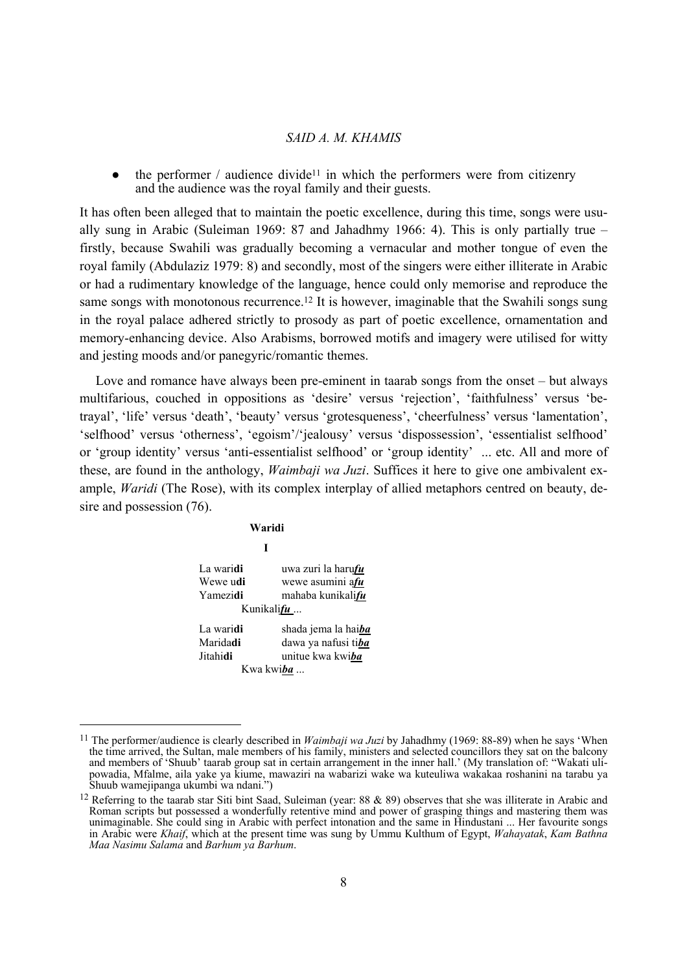$\bullet$  the performer / audience divide<sup>11</sup> in which the performers were from citizenry and the audience was the royal family and their guests.

It has often been alleged that to maintain the poetic excellence, during this time, songs were usually sung in Arabic (Suleiman 1969: 87 and Jahadhmy 1966: 4). This is only partially true – firstly, because Swahili was gradually becoming a vernacular and mother tongue of even the royal family (Abdulaziz 1979: 8) and secondly, most of the singers were either illiterate in Arabic or had a rudimentary knowledge of the language, hence could only memorise and reproduce the same songs with monotonous recurrence.<sup>12</sup> It is however, imaginable that the Swahili songs sung in the royal palace adhered strictly to prosody as part of poetic excellence, ornamentation and memory-enhancing device. Also Arabisms, borrowed motifs and imagery were utilised for witty and jesting moods and/or panegyric/romantic themes.

 Love and romance have always been pre-eminent in taarab songs from the onset – but always multifarious, couched in oppositions as 'desire' versus 'rejection', 'faithfulness' versus 'betrayal', 'life' versus 'death', 'beauty' versus 'grotesqueness', 'cheerfulness' versus 'lamentation', 'selfhood' versus 'otherness', 'egoism'/'jealousy' versus 'dispossession', 'essentialist selfhood' or 'group identity' versus 'anti-essentialist selfhood' or 'group identity' ... etc. All and more of these, are found in the anthology, *Waimbaji wa Juzi*. Suffices it here to give one ambivalent example, *Waridi* (The Rose), with its complex interplay of allied metaphors centred on beauty, desire and possession (76).

 **Waridi I**  La wari**di** uwa zuri la haru*fu* Wewe u**di** wewe asumini a*fu* Yamezi**di** mahaba kunikali*fu* Kunikali*fu* ... La wari**di** shada jema la hai*ba* Marida**di** dawa ya nafusi ti*ba* Jitahi**di** unitue kwa kwi*ba* Kwa kwi*ba* ...

<sup>11</sup> The performer/audience is clearly described in *Waimbaji wa Juzi* by Jahadhmy (1969: 88-89) when he says 'When the time arrived, the Sultan, male members of his family, ministers and selected councillors they sat on the balcony and members of 'Shuub' taarab group sat in certain arrangement in the inner hall.' (My translation of: "Wakati ulipowadia, Mfalme, aila yake ya kiume, mawaziri na wabarizi wake wa kuteuliwa wakakaa roshanini na tarabu ya Shuub wamejipanga ukumbi wa ndani.")

<sup>&</sup>lt;sup>12</sup> Referring to the taarab star Siti bint Saad, Suleiman (year: 88  $\&$  89) observes that she was illiterate in Arabic and Roman scripts but possessed a wonderfully retentive mind and power of grasping things and mastering them was unimaginable. She could sing in Arabic with perfect intonation and the same in Hindustani ... Her favourite songs in Arabic were *Khaif*, which at the present time was sung by Ummu Kulthum of Egypt, *Wahayatak*, *Kam Bathna Maa Nasimu Salama* and *Barhum ya Barhum*.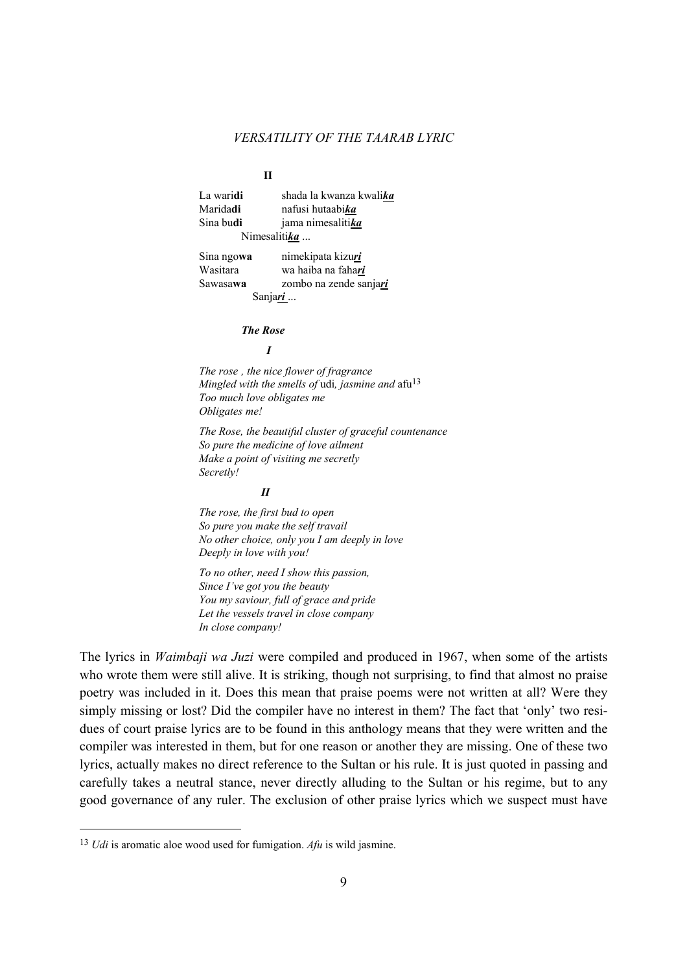**II** 

| La waridi       | shada la kwanza kwali <i>ka</i> |
|-----------------|---------------------------------|
| Maridadi        | nafusi hutaabi <i>ka</i>        |
| Sina budi       | jama nimesalitika               |
| Nimesalitika    |                                 |
| Sina ngowa      | nimekipata kizuri               |
| Wasitara        | wa haiba na fahari              |
| Sawasawa        | zombo na zende sanjari          |
| Sanjari         |                                 |
| <b>The Rose</b> |                                 |

*The rose , the nice flower of fragrance Mingled with the smells of udi, jasmine and afu*<sup>13</sup> *Too much love obligates me Obligates me!* 

*The Rose, the beautiful cluster of graceful countenance So pure the medicine of love ailment Make a point of visiting me secretly Secretly!* 

#### *II*

*I* 

*The rose, the first bud to open So pure you make the self travail No other choice, only you I am deeply in love Deeply in love with you!* 

*To no other, need I show this passion, Since I've got you the beauty You my saviour, full of grace and pride Let the vessels travel in close company In close company!* 

The lyrics in *Waimbaji wa Juzi* were compiled and produced in 1967, when some of the artists who wrote them were still alive. It is striking, though not surprising, to find that almost no praise poetry was included in it. Does this mean that praise poems were not written at all? Were they simply missing or lost? Did the compiler have no interest in them? The fact that 'only' two residues of court praise lyrics are to be found in this anthology means that they were written and the compiler was interested in them, but for one reason or another they are missing. One of these two lyrics, actually makes no direct reference to the Sultan or his rule. It is just quoted in passing and carefully takes a neutral stance, never directly alluding to the Sultan or his regime, but to any good governance of any ruler. The exclusion of other praise lyrics which we suspect must have

<sup>13</sup> *Udi* is aromatic aloe wood used for fumigation. *Afu* is wild jasmine.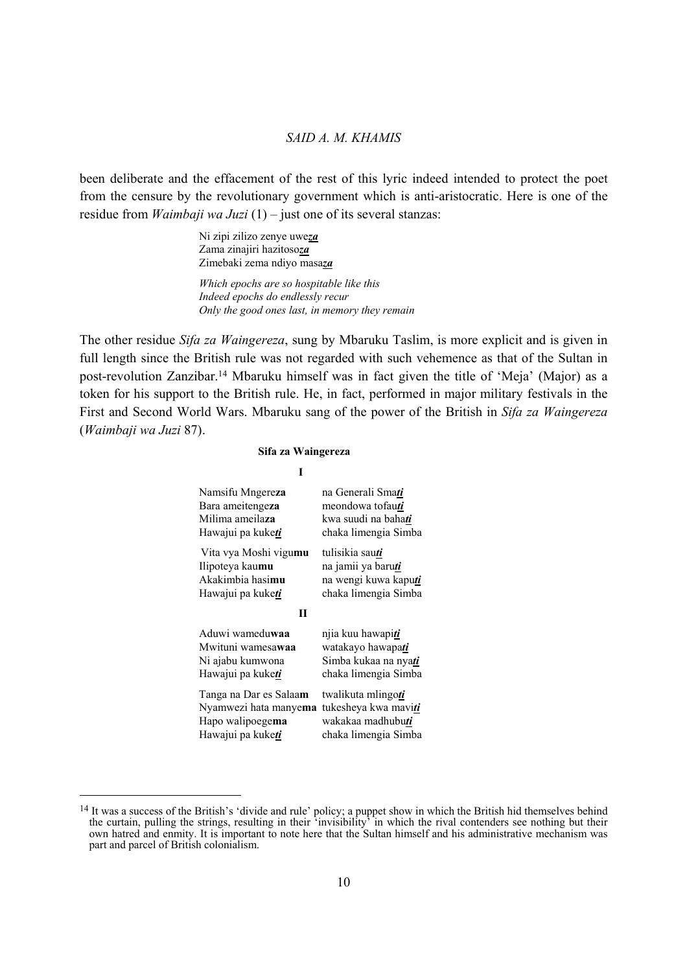been deliberate and the effacement of the rest of this lyric indeed intended to protect the poet from the censure by the revolutionary government which is anti-aristocratic. Here is one of the residue from *Waimbaji wa Juzi* (1) – just one of its several stanzas:

> Ni zipi zilizo zenye uwe*za* Zama zinajiri hazitoso*za* Zimebaki zema ndiyo masa*za*

*Which epochs are so hospitable like this Indeed epochs do endlessly recur Only the good ones last, in memory they remain* 

The other residue *Sifa za Waingereza*, sung by Mbaruku Taslim, is more explicit and is given in full length since the British rule was not regarded with such vehemence as that of the Sultan in post-revolution Zanzibar.14 Mbaruku himself was in fact given the title of 'Meja' (Major) as a token for his support to the British rule. He, in fact, performed in major military festivals in the First and Second World Wars. Mbaruku sang of the power of the British in *Sifa za Waingereza* (*Waimbaji wa Juzi* 87).

#### **Sifa za Waingereza**

| na Generali Smati<br>meondowa tofauti<br>kwa suudi na bahati<br>chaka limengia Simba                    |  |
|---------------------------------------------------------------------------------------------------------|--|
| tulisikia sau <u>ti</u><br>na jamii ya baruti<br>na wengi kuwa kaputi<br>chaka limengia Simba           |  |
|                                                                                                         |  |
| njia kuu hawapi <i>ti</i><br>watakayo hawapati<br>Simba kukaa na nya <i>ti</i><br>chaka limengia Simba  |  |
| twalikuta mlingo <u>ti</u><br>tukesheya kwa maviti<br>wakakaa madhubu <i>ti</i><br>chaka limengia Simba |  |
|                                                                                                         |  |

 $\overline{a}$ 

<sup>&</sup>lt;sup>14</sup> It was a success of the British's 'divide and rule' policy; a puppet show in which the British hid themselves behind the curtain, pulling the strings, resulting in their 'invisibility' in which the rival contenders see nothing but their own hatred and enmity. It is important to note here that the Sultan himself and his administrative mechanism was part and parcel of British colonialism.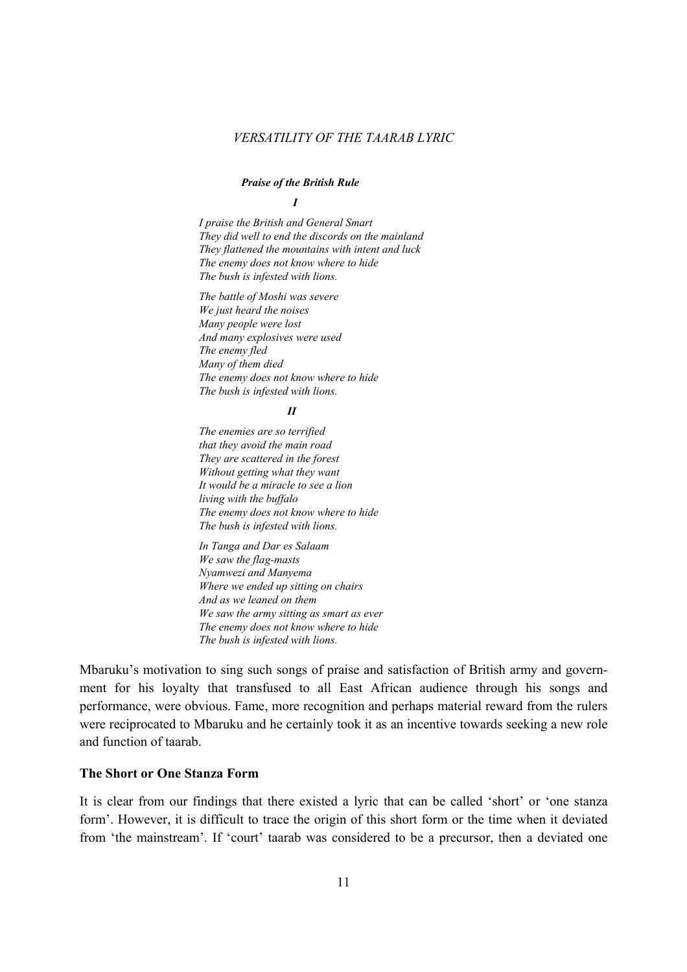### *Praise of the British Rule*

*I* 

*I praise the British and General Smart They did well to end the discords on the mainland They flattened the mountains with intent and luck The enemy does not know where to hide The bush is infested with lions.* 

*The battle of Moshi was severe We just heard the noises Many people were lost And many explosives were used The enemy fled Many of them died The enemy does not know where to hide The bush is infested with lions.* 

#### *II*

*The enemies are so terrified that they avoid the main road They are scattered in the forest Without getting what they want It would be a miracle to see a lion living with the buffalo The enemy does not know where to hide The bush is infested with lions.* 

*In Tanga and Dar es Salaam We saw the flag-masts Nyamwezi and Manyema Where we ended up sitting on chairs And as we leaned on them We saw the army sitting as smart as ever The enemy does not know where to hide The bush is infested with lions.* 

Mbaruku's motivation to sing such songs of praise and satisfaction of British army and government for his loyalty that transfused to all East African audience through his songs and performance, were obvious. Fame, more recognition and perhaps material reward from the rulers were reciprocated to Mbaruku and he certainly took it as an incentive towards seeking a new role and function of taarab.

### **The Short or One Stanza Form**

It is clear from our findings that there existed a lyric that can be called 'short' or 'one stanza form'. However, it is difficult to trace the origin of this short form or the time when it deviated from 'the mainstream'. If 'court' taarab was considered to be a precursor, then a deviated one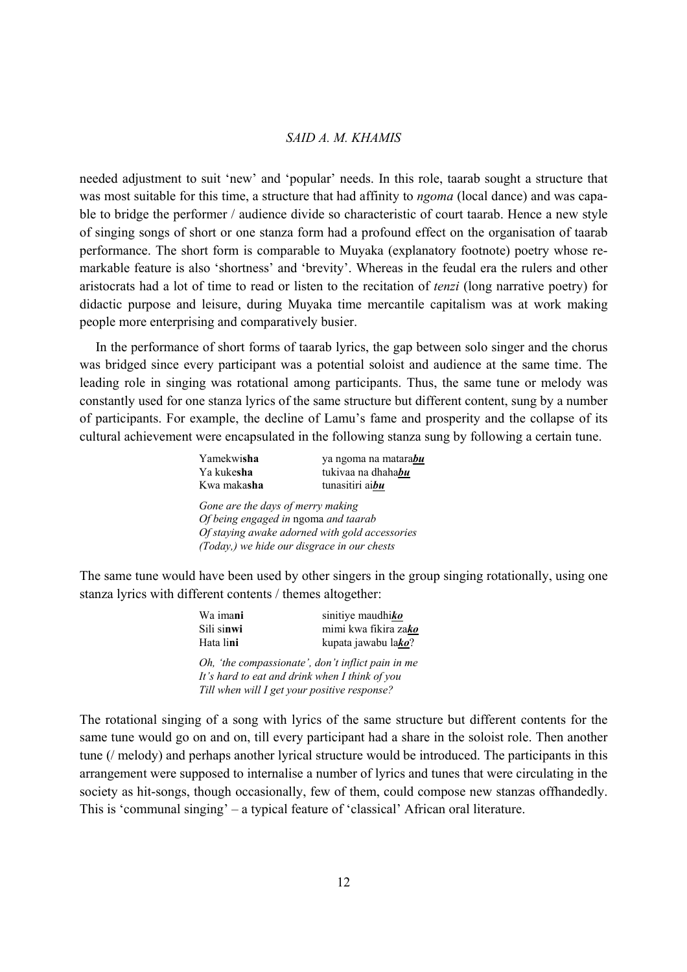needed adjustment to suit 'new' and 'popular' needs. In this role, taarab sought a structure that was most suitable for this time, a structure that had affinity to *ngoma* (local dance) and was capable to bridge the performer / audience divide so characteristic of court taarab. Hence a new style of singing songs of short or one stanza form had a profound effect on the organisation of taarab performance. The short form is comparable to Muyaka (explanatory footnote) poetry whose remarkable feature is also 'shortness' and 'brevity'. Whereas in the feudal era the rulers and other aristocrats had a lot of time to read or listen to the recitation of *tenzi* (long narrative poetry) for didactic purpose and leisure, during Muyaka time mercantile capitalism was at work making people more enterprising and comparatively busier.

 In the performance of short forms of taarab lyrics, the gap between solo singer and the chorus was bridged since every participant was a potential soloist and audience at the same time. The leading role in singing was rotational among participants. Thus, the same tune or melody was constantly used for one stanza lyrics of the same structure but different content, sung by a number of participants. For example, the decline of Lamu's fame and prosperity and the collapse of its cultural achievement were encapsulated in the following stanza sung by following a certain tune.

| Yamekwisha  | ya ngoma na matarabu    |
|-------------|-------------------------|
| Ya kukesha  | tukiyaa na dhahabu      |
| Kwa makasha | tunasitiri ai <b>bu</b> |

*Gone are the days of merry making Of being engaged in* ngoma *and taarab Of staying awake adorned with gold accessories (Today,) we hide our disgrace in our chests*

The same tune would have been used by other singers in the group singing rotationally, using one stanza lyrics with different contents / themes altogether:

| Wa ima <b>ni</b>                                                                                             | sinitiye maudhiko    |  |  |
|--------------------------------------------------------------------------------------------------------------|----------------------|--|--|
| Sili sinwi                                                                                                   | mimi kwa fikira zako |  |  |
| Hata lini                                                                                                    | kupata jawabu lako?  |  |  |
| Oh, 'the compassionate', don't inflict pain in me<br>$L^2$ a local to pat and duit use out on I think of use |                      |  |  |

*It's hard to eat and drink when I think of you Till when will I get your positive response?*

The rotational singing of a song with lyrics of the same structure but different contents for the same tune would go on and on, till every participant had a share in the soloist role. Then another tune (/ melody) and perhaps another lyrical structure would be introduced. The participants in this arrangement were supposed to internalise a number of lyrics and tunes that were circulating in the society as hit-songs, though occasionally, few of them, could compose new stanzas offhandedly. This is 'communal singing' – a typical feature of 'classical' African oral literature.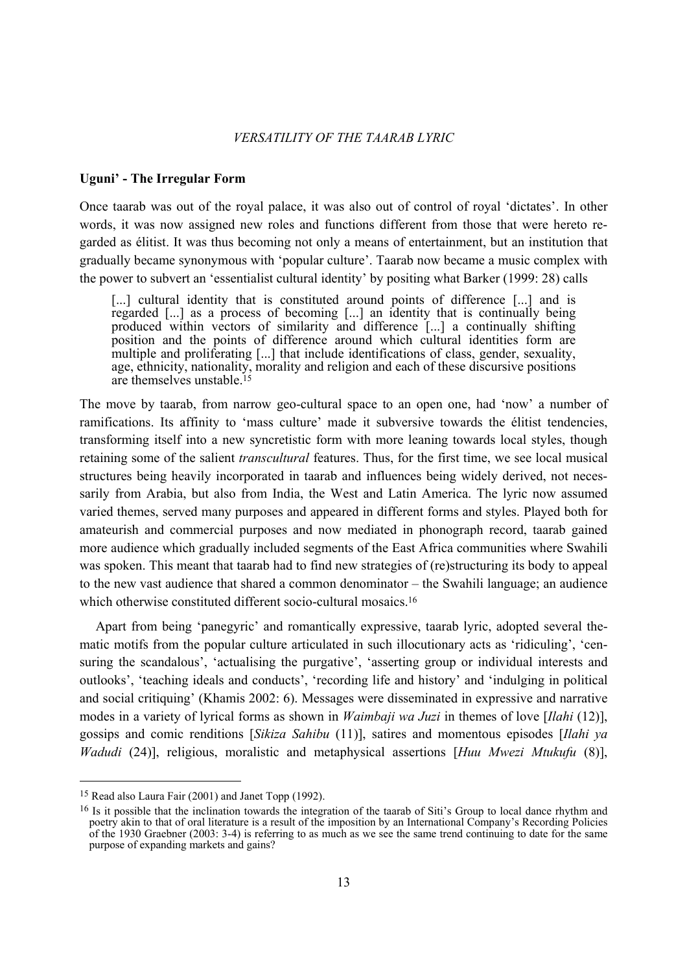### **Uguni' - The Irregular Form**

Once taarab was out of the royal palace, it was also out of control of royal 'dictates'. In other words, it was now assigned new roles and functions different from those that were hereto regarded as élitist. It was thus becoming not only a means of entertainment, but an institution that gradually became synonymous with 'popular culture'. Taarab now became a music complex with the power to subvert an 'essentialist cultural identity' by positing what Barker (1999: 28) calls

[...] cultural identity that is constituted around points of difference [...] and is regarded [...] as a process of becoming [...] an identity that is continually being produced within vectors of similarity and difference [...] a continually shifting position and the points of difference around which cultural identities form are multiple and proliferating [...] that include identifications of class, gender, sexuality, age, ethnicity, nationality, morality and religion and each of these discursive positions are themselves unstable.15

The move by taarab, from narrow geo-cultural space to an open one, had 'now' a number of ramifications. Its affinity to 'mass culture' made it subversive towards the élitist tendencies, transforming itself into a new syncretistic form with more leaning towards local styles, though retaining some of the salient *transcultural* features. Thus, for the first time, we see local musical structures being heavily incorporated in taarab and influences being widely derived, not necessarily from Arabia, but also from India, the West and Latin America. The lyric now assumed varied themes, served many purposes and appeared in different forms and styles. Played both for amateurish and commercial purposes and now mediated in phonograph record, taarab gained more audience which gradually included segments of the East Africa communities where Swahili was spoken. This meant that taarab had to find new strategies of (re)structuring its body to appeal to the new vast audience that shared a common denominator – the Swahili language; an audience which otherwise constituted different socio-cultural mosaics.<sup>16</sup>

 Apart from being 'panegyric' and romantically expressive, taarab lyric, adopted several thematic motifs from the popular culture articulated in such illocutionary acts as 'ridiculing', 'censuring the scandalous', 'actualising the purgative', 'asserting group or individual interests and outlooks', 'teaching ideals and conducts', 'recording life and history' and 'indulging in political and social critiquing' (Khamis 2002: 6). Messages were disseminated in expressive and narrative modes in a variety of lyrical forms as shown in *Waimbaji wa Juzi* in themes of love [*Ilahi* (12)], gossips and comic renditions [*Sikiza Sahibu* (11)], satires and momentous episodes [*Ilahi ya Wadudi* (24)], religious, moralistic and metaphysical assertions [*Huu Mwezi Mtukufu* (8)],

<sup>15</sup> Read also Laura Fair (2001) and Janet Topp (1992).

<sup>&</sup>lt;sup>16</sup> Is it possible that the inclination towards the integration of the taarab of Siti's Group to local dance rhythm and poetry akin to that of oral literature is a result of the imposition by an International Company's Recording Policies of the 1930 Graebner (2003: 3-4) is referring to as much as we see the same trend continuing to date for the same purpose of expanding markets and gains?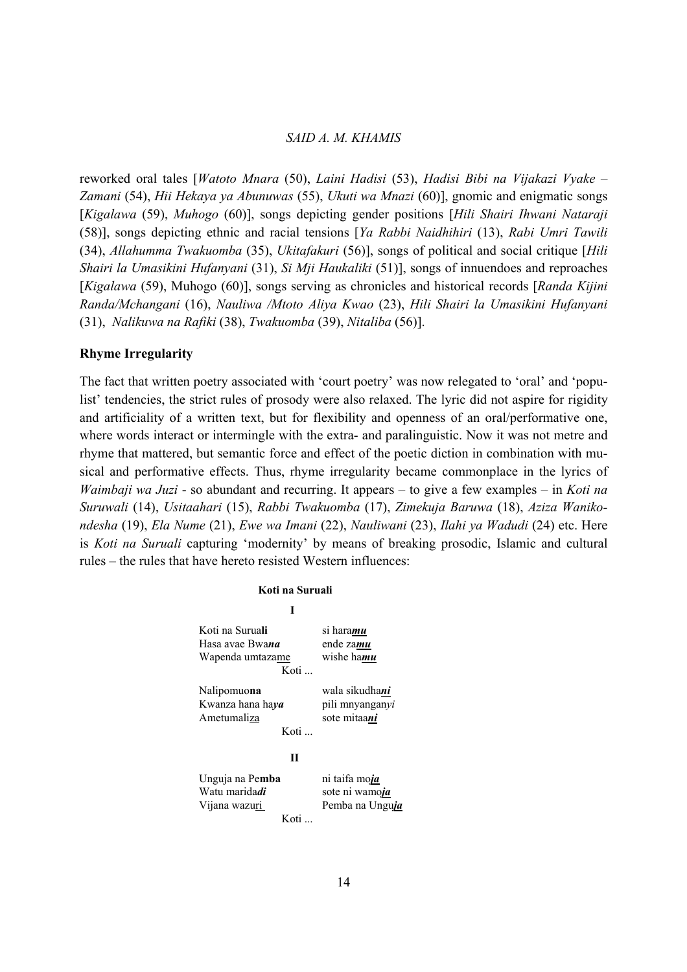reworked oral tales [*Watoto Mnara* (50), *Laini Hadisi* (53), *Hadisi Bibi na Vijakazi Vyake* – *Zamani* (54), *Hii Hekaya ya Abunuwas* (55), *Ukuti wa Mnazi* (60)], gnomic and enigmatic songs [*Kigalawa* (59), *Muhogo* (60)], songs depicting gender positions [*Hili Shairi Ihwani Nataraji* (58)], songs depicting ethnic and racial tensions [*Ya Rabbi Naidhihiri* (13), *Rabi Umri Tawili* (34), *Allahumma Twakuomba* (35), *Ukitafakuri* (56)], songs of political and social critique [*Hili Shairi la Umasikini Hufanyani* (31), *Si Mji Haukaliki* (51)], songs of innuendoes and reproaches [*Kigalawa* (59), Muhogo (60)], songs serving as chronicles and historical records [*Randa Kijini Randa/Mchangani* (16), *Nauliwa /Mtoto Aliya Kwao* (23), *Hili Shairi la Umasikini Hufanyani* (31), *Nalikuwa na Rafiki* (38), *Twakuomba* (39), *Nitaliba* (56)].

### **Rhyme Irregularity**

The fact that written poetry associated with 'court poetry' was now relegated to 'oral' and 'populist' tendencies, the strict rules of prosody were also relaxed. The lyric did not aspire for rigidity and artificiality of a written text, but for flexibility and openness of an oral/performative one, where words interact or intermingle with the extra- and paralinguistic. Now it was not metre and rhyme that mattered, but semantic force and effect of the poetic diction in combination with musical and performative effects. Thus, rhyme irregularity became commonplace in the lyrics of *Waimbaji wa Juzi* - so abundant and recurring. It appears – to give a few examples – in *Koti na Suruwali* (14), *Usitaahari* (15), *Rabbi Twakuomba* (17), *Zimekuja Baruwa* (18), *Aziza Wanikondesha* (19), *Ela Nume* (21), *Ewe wa Imani* (22), *Nauliwani* (23), *Ilahi ya Wadudi* (24) etc. Here is *Koti na Suruali* capturing 'modernity' by means of breaking prosodic, Islamic and cultural rules – the rules that have hereto resisted Western influences:

| Koti na Suruali                                                                                                     |                                      |  |  |  |
|---------------------------------------------------------------------------------------------------------------------|--------------------------------------|--|--|--|
| I                                                                                                                   |                                      |  |  |  |
| Koti na Suruali<br>Hasa avae Bwana<br>Wapenda umtazame<br>Koti                                                      | si haramu<br>ende zamu<br>wishe hamu |  |  |  |
| wala sikudha <i>ni</i><br>Nalipomuona<br>Kwanza hana haya<br>pili mnyanganyi<br>Ametumaliza<br>sote mitaani<br>Koti |                                      |  |  |  |
| П                                                                                                                   |                                      |  |  |  |
| Unguja na Pemba<br>ni taifa moja<br>Watu maridadi<br>sote ni wamoja<br>Vijana wazuri<br>Pemba na Unguja<br>Koti     |                                      |  |  |  |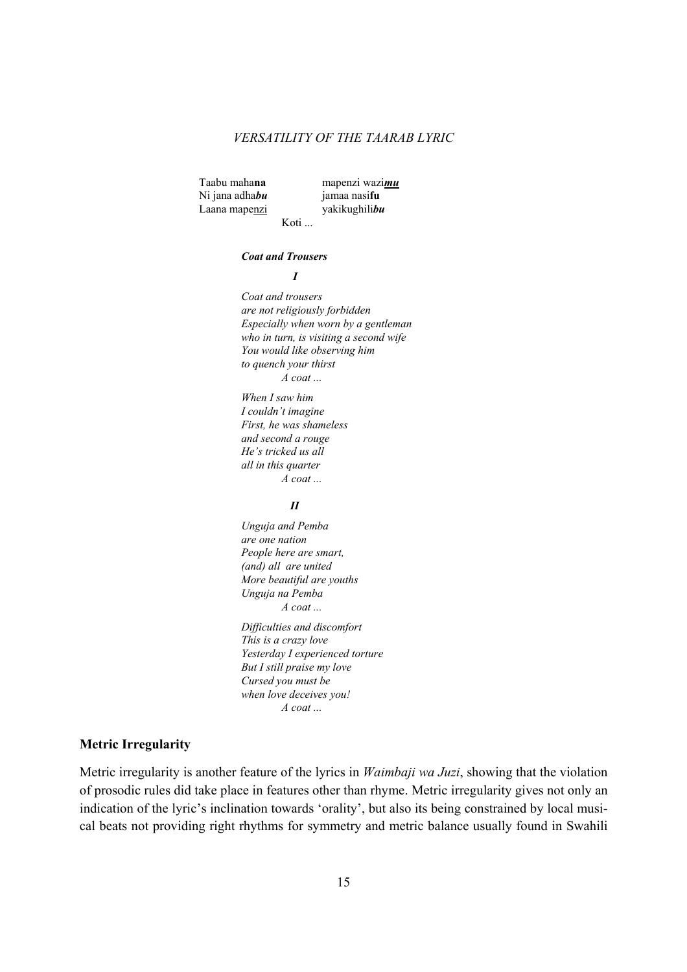Taabu maha**na** mapenzi wazi*mu* Ni jana adha*bu* jamaa nasi**fu** Laana mapenzi yakikughili*bu*

Koti ...

#### *Coat and Trousers*

*I* 

 *Coat and trousers are not religiously forbidden Especially when worn by a gentleman who in turn, is visiting a second wife You would like observing him to quench your thirst A coat ...* 

 *When I saw him I couldn't imagine First, he was shameless and second a rouge He's tricked us all all in this quarter A coat ...*

#### *II*

 *Unguja and Pemba are one nation People here are smart, (and) all are united More beautiful are youths Unguja na Pemba A coat ...* 

 *Difficulties and discomfort This is a crazy love Yesterday I experienced torture But I still praise my love Cursed you must be when love deceives you! A coat ...*

# **Metric Irregularity**

Metric irregularity is another feature of the lyrics in *Waimbaji wa Juzi*, showing that the violation of prosodic rules did take place in features other than rhyme. Metric irregularity gives not only an indication of the lyric's inclination towards 'orality', but also its being constrained by local musical beats not providing right rhythms for symmetry and metric balance usually found in Swahili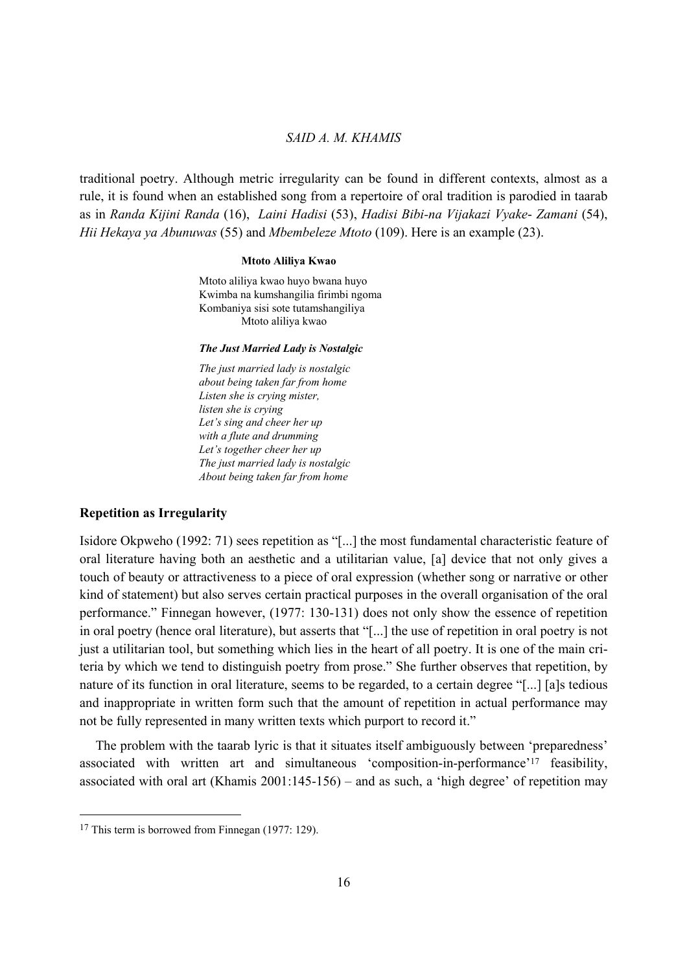traditional poetry. Although metric irregularity can be found in different contexts, almost as a rule, it is found when an established song from a repertoire of oral tradition is parodied in taarab as in *Randa Kijini Randa* (16), *Laini Hadisi* (53), *Hadisi Bibi-na Vijakazi Vyake*- *Zamani* (54), *Hii Hekaya ya Abunuwas* (55) and *Mbembeleze Mtoto* (109). Here is an example (23).

#### **Mtoto Aliliya Kwao**

Mtoto aliliya kwao huyo bwana huyo Kwimba na kumshangilia firimbi ngoma Kombaniya sisi sote tutamshangiliya Mtoto aliliya kwao

#### *The Just Married Lady is Nostalgic*

*The just married lady is nostalgic about being taken far from home Listen she is crying mister, listen she is crying Let's sing and cheer her up with a flute and drumming Let's together cheer her up The just married lady is nostalgic About being taken far from home*

### **Repetition as Irregularity**

Isidore Okpweho (1992: 71) sees repetition as "[...] the most fundamental characteristic feature of oral literature having both an aesthetic and a utilitarian value, [a] device that not only gives a touch of beauty or attractiveness to a piece of oral expression (whether song or narrative or other kind of statement) but also serves certain practical purposes in the overall organisation of the oral performance." Finnegan however, (1977: 130-131) does not only show the essence of repetition in oral poetry (hence oral literature), but asserts that "[...] the use of repetition in oral poetry is not just a utilitarian tool, but something which lies in the heart of all poetry. It is one of the main criteria by which we tend to distinguish poetry from prose." She further observes that repetition, by nature of its function in oral literature, seems to be regarded, to a certain degree "[...] [a]s tedious and inappropriate in written form such that the amount of repetition in actual performance may not be fully represented in many written texts which purport to record it."

 The problem with the taarab lyric is that it situates itself ambiguously between 'preparedness' associated with written art and simultaneous 'composition-in-performance'17 feasibility, associated with oral art (Khamis 2001:145-156) – and as such, a 'high degree' of repetition may

 $\overline{a}$ 

<sup>&</sup>lt;sup>17</sup> This term is borrowed from Finnegan (1977: 129).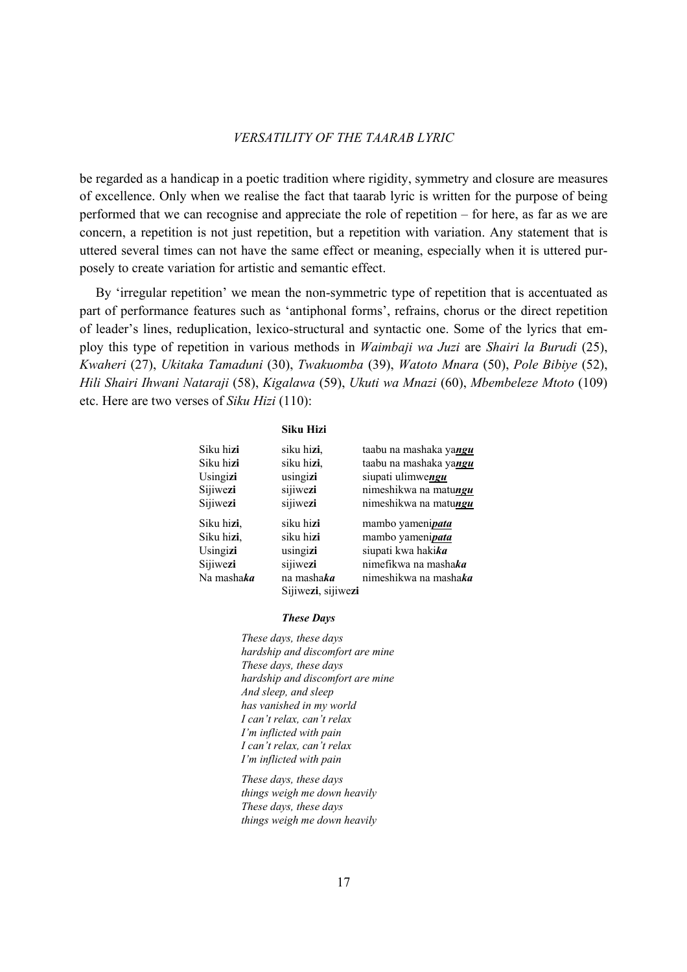be regarded as a handicap in a poetic tradition where rigidity, symmetry and closure are measures of excellence. Only when we realise the fact that taarab lyric is written for the purpose of being performed that we can recognise and appreciate the role of repetition – for here, as far as we are concern, a repetition is not just repetition, but a repetition with variation. Any statement that is uttered several times can not have the same effect or meaning, especially when it is uttered purposely to create variation for artistic and semantic effect.

 By 'irregular repetition' we mean the non-symmetric type of repetition that is accentuated as part of performance features such as 'antiphonal forms', refrains, chorus or the direct repetition of leader's lines, reduplication, lexico-structural and syntactic one. Some of the lyrics that employ this type of repetition in various methods in *Waimbaji wa Juzi* are *Shairi la Burudi* (25), *Kwaheri* (27), *Ukitaka Tamaduni* (30), *Twakuomba* (39), *Watoto Mnara* (50), *Pole Bibiye* (52), *Hili Shairi Ihwani Nataraji* (58), *Kigalawa* (59), *Ukuti wa Mnazi* (60), *Mbembeleze Mtoto* (109) etc. Here are two verses of *Siku Hizi* (110):

#### **Siku Hizi**

| Siku hizi  | siku hizi,         | taabu na mashaka yangu   |
|------------|--------------------|--------------------------|
| Siku hizi  | siku hizi,         | taabu na mashaka yangu   |
| Usingizi   | usingizi           | siupati ulimwengu        |
| Sijiwezi   | sijiwezi           | nimeshikwa na matungu    |
| Sijiwezi   | sijiwezi           | nimeshikwa na matungu    |
| Siku hizi, | siku hi <b>zi</b>  | mambo yameni <i>pata</i> |
| Siku hizi, | siku hi <b>zi</b>  | mambo yameni <i>pata</i> |
| Usingizi   | usingizi           | siupati kwa hakika       |
| Sijiwezi   | sijiwezi           | nimefikwa na mashaka     |
| Na mashaka | na mashaka         | nimeshikwa na mashaka    |
|            | Sijiwezi, sijiwezi |                          |

#### *These Days*

 *These days, these days hardship and discomfort are mine These days, these days hardship and discomfort are mine And sleep, and sleep has vanished in my world I can't relax, can't relax I'm inflicted with pain I can't relax, can't relax I'm inflicted with pain* 

 *These days, these days things weigh me down heavily These days, these days things weigh me down heavily*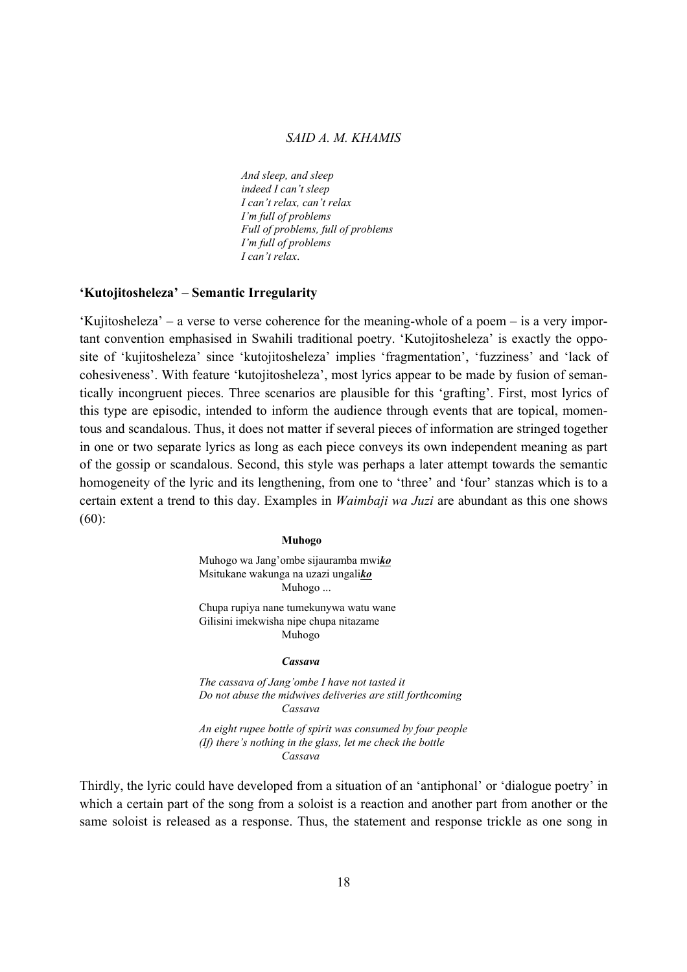*And sleep, and sleep indeed I can't sleep I can't relax, can't relax I'm full of problems Full of problems, full of problems I'm full of problems I can't relax*.

### **'Kutojitosheleza' – Semantic Irregularity**

'Kujitosheleza' – a verse to verse coherence for the meaning-whole of a poem – is a very important convention emphasised in Swahili traditional poetry. 'Kutojitosheleza' is exactly the opposite of 'kujitosheleza' since 'kutojitosheleza' implies 'fragmentation', 'fuzziness' and 'lack of cohesiveness'. With feature 'kutojitosheleza', most lyrics appear to be made by fusion of semantically incongruent pieces. Three scenarios are plausible for this 'grafting'. First, most lyrics of this type are episodic, intended to inform the audience through events that are topical, momentous and scandalous. Thus, it does not matter if several pieces of information are stringed together in one or two separate lyrics as long as each piece conveys its own independent meaning as part of the gossip or scandalous. Second, this style was perhaps a later attempt towards the semantic homogeneity of the lyric and its lengthening, from one to 'three' and 'four' stanzas which is to a certain extent a trend to this day. Examples in *Waimbaji wa Juzi* are abundant as this one shows (60):

#### **Muhogo**

Muhogo wa Jang'ombe sijauramba mwi*ko* Msitukane wakunga na uzazi ungali*ko* Muhogo ...

Chupa rupiya nane tumekunywa watu wane Gilisini imekwisha nipe chupa nitazame Muhogo

#### *Cassava*

*The cassava of Jang'ombe I have not tasted it Do not abuse the midwives deliveries are still forthcoming Cassava* 

*An eight rupee bottle of spirit was consumed by four people (If) there's nothing in the glass, let me check the bottle Cassava*

Thirdly, the lyric could have developed from a situation of an 'antiphonal' or 'dialogue poetry' in which a certain part of the song from a soloist is a reaction and another part from another or the same soloist is released as a response. Thus, the statement and response trickle as one song in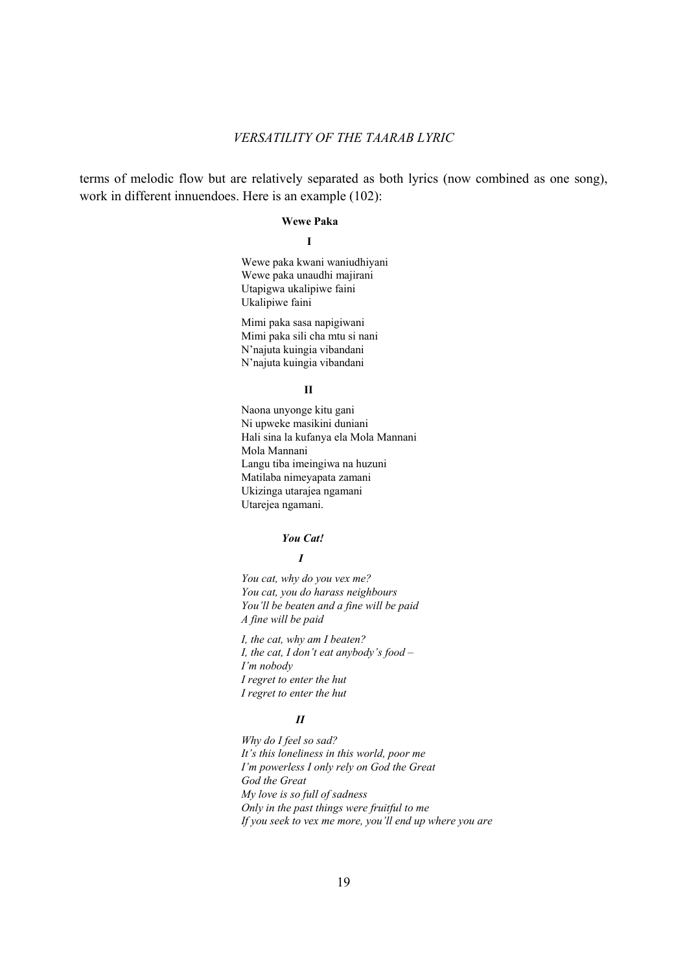terms of melodic flow but are relatively separated as both lyrics (now combined as one song), work in different innuendoes. Here is an example (102):

### **Wewe Paka**

**I** 

 Wewe paka kwani waniudhiyani Wewe paka unaudhi majirani Utapigwa ukalipiwe faini Ukalipiwe faini

 Mimi paka sasa napigiwani Mimi paka sili cha mtu si nani N'najuta kuingia vibandani N'najuta kuingia vibandani

#### **II**

 Naona unyonge kitu gani Ni upweke masikini duniani Hali sina la kufanya ela Mola Mannani Mola Mannani Langu tiba imeingiwa na huzuni Matilaba nimeyapata zamani Ukizinga utarajea ngamani Utarejea ngamani.

#### *You Cat!*

#### *I*

 *You cat, why do you vex me? You cat, you do harass neighbours You'll be beaten and a fine will be paid A fine will be paid* 

 *I, the cat, why am I beaten? I, the cat, I don't eat anybody's food – I'm nobody I regret to enter the hut I regret to enter the hut*

#### *II*

 *Why do I feel so sad? It's this loneliness in this world, poor me I'm powerless I only rely on God the Great God the Great My love is so full of sadness Only in the past things were fruitful to me If you seek to vex me more, you'll end up where you are*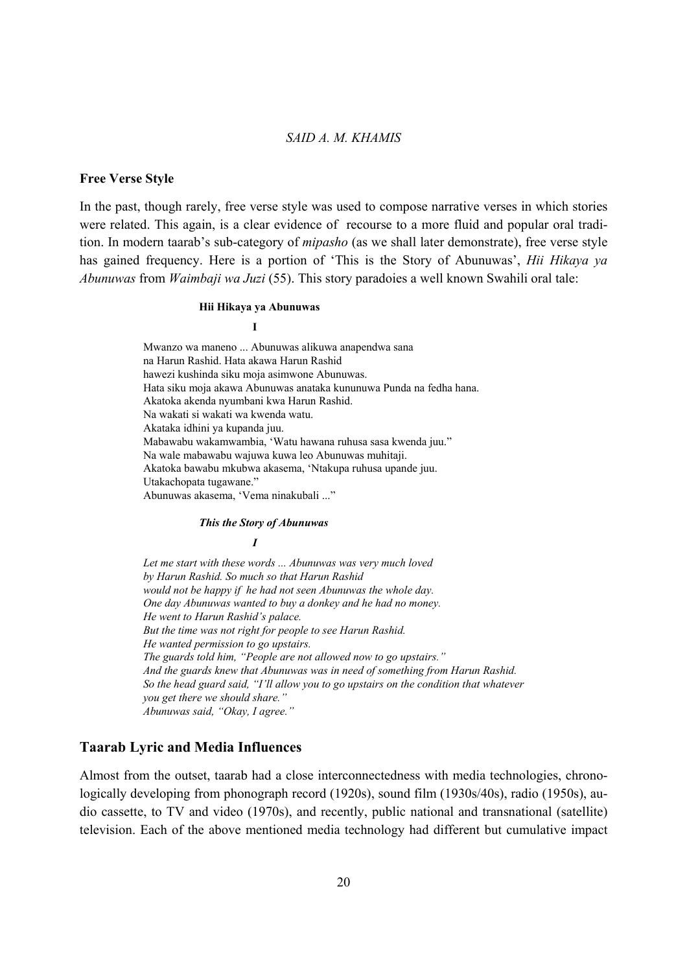#### **Free Verse Style**

In the past, though rarely, free verse style was used to compose narrative verses in which stories were related. This again, is a clear evidence of recourse to a more fluid and popular oral tradition. In modern taarab's sub-category of *mipasho* (as we shall later demonstrate), free verse style has gained frequency. Here is a portion of 'This is the Story of Abunuwas', *Hii Hikaya ya Abunuwas* from *Waimbaji wa Juzi* (55). This story paradoies a well known Swahili oral tale:

#### **Hii Hikaya ya Abunuwas**

**I** 

 Mwanzo wa maneno ... Abunuwas alikuwa anapendwa sana na Harun Rashid. Hata akawa Harun Rashid hawezi kushinda siku moja asimwone Abunuwas. Hata siku moja akawa Abunuwas anataka kununuwa Punda na fedha hana. Akatoka akenda nyumbani kwa Harun Rashid. Na wakati si wakati wa kwenda watu. Akataka idhini ya kupanda juu. Mabawabu wakamwambia, 'Watu hawana ruhusa sasa kwenda juu." Na wale mabawabu wajuwa kuwa leo Abunuwas muhitaji. Akatoka bawabu mkubwa akasema, 'Ntakupa ruhusa upande juu. Utakachopata tugawane." Abunuwas akasema, 'Vema ninakubali ..."

#### *This the Story of Abunuwas*

*I* 

 *Let me start with these words ... Abunuwas was very much loved by Harun Rashid. So much so that Harun Rashid would not be happy if he had not seen Abunuwas the whole day. One day Abunuwas wanted to buy a donkey and he had no money. He went to Harun Rashid's palace. But the time was not right for people to see Harun Rashid. He wanted permission to go upstairs. The guards told him, "People are not allowed now to go upstairs." And the guards knew that Abunuwas was in need of something from Harun Rashid. So the head guard said, "I'll allow you to go upstairs on the condition that whatever you get there we should share." Abunuwas said, "Okay, I agree."*

# **Taarab Lyric and Media Influences**

Almost from the outset, taarab had a close interconnectedness with media technologies, chronologically developing from phonograph record (1920s), sound film (1930s/40s), radio (1950s), audio cassette, to TV and video (1970s), and recently, public national and transnational (satellite) television. Each of the above mentioned media technology had different but cumulative impact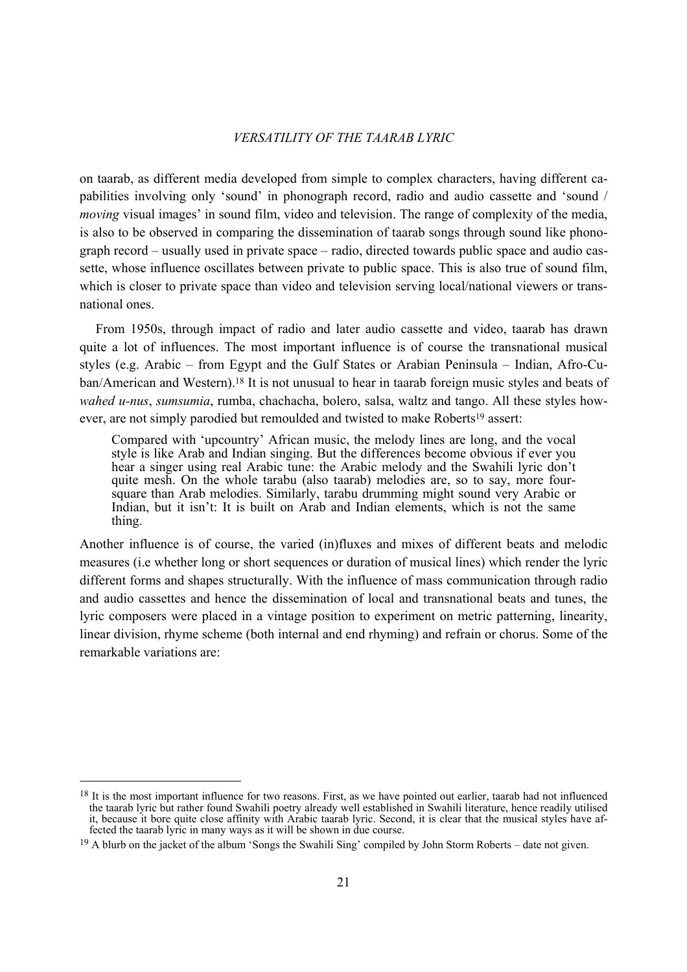on taarab, as different media developed from simple to complex characters, having different capabilities involving only 'sound' in phonograph record, radio and audio cassette and 'sound / *moving* visual images' in sound film, video and television. The range of complexity of the media, is also to be observed in comparing the dissemination of taarab songs through sound like phonograph record – usually used in private space – radio, directed towards public space and audio cassette, whose influence oscillates between private to public space. This is also true of sound film, which is closer to private space than video and television serving local/national viewers or transnational ones.

 From 1950s, through impact of radio and later audio cassette and video, taarab has drawn quite a lot of influences. The most important influence is of course the transnational musical styles (e.g. Arabic – from Egypt and the Gulf States or Arabian Peninsula – Indian, Afro-Cuban/American and Western).18 It is not unusual to hear in taarab foreign music styles and beats of *wahed u-nus*, *sumsumia*, rumba, chachacha, bolero, salsa, waltz and tango. All these styles however, are not simply parodied but remoulded and twisted to make Roberts<sup>19</sup> assert:

Compared with 'upcountry' African music, the melody lines are long, and the vocal style is like Arab and Indian singing. But the differences become obvious if ever you hear a singer using real Arabic tune: the Arabic melody and the Swahili lyric don't quite mesh. On the whole tarabu (also taarab) melodies are, so to say, more foursquare than Arab melodies. Similarly, tarabu drumming might sound very Arabic or Indian, but it isn't: It is built on Arab and Indian elements, which is not the same thing.

Another influence is of course, the varied (in)fluxes and mixes of different beats and melodic measures (i.e whether long or short sequences or duration of musical lines) which render the lyric different forms and shapes structurally. With the influence of mass communication through radio and audio cassettes and hence the dissemination of local and transnational beats and tunes, the lyric composers were placed in a vintage position to experiment on metric patterning, linearity, linear division, rhyme scheme (both internal and end rhyming) and refrain or chorus. Some of the remarkable variations are:

<sup>&</sup>lt;sup>18</sup> It is the most important influence for two reasons. First, as we have pointed out earlier, taarab had not influenced the taarab lyric but rather found Swahili poetry already well established in Swahili literature, hence readily utilised it, because it bore quite close affinity with Arabic taarab lyric. Second, it is clear that the musical styles have affected the taarab lyric in many ways as it will be shown in due course.

<sup>&</sup>lt;sup>19</sup> A blurb on the jacket of the album 'Songs the Swahili Sing' compiled by John Storm Roberts – date not given.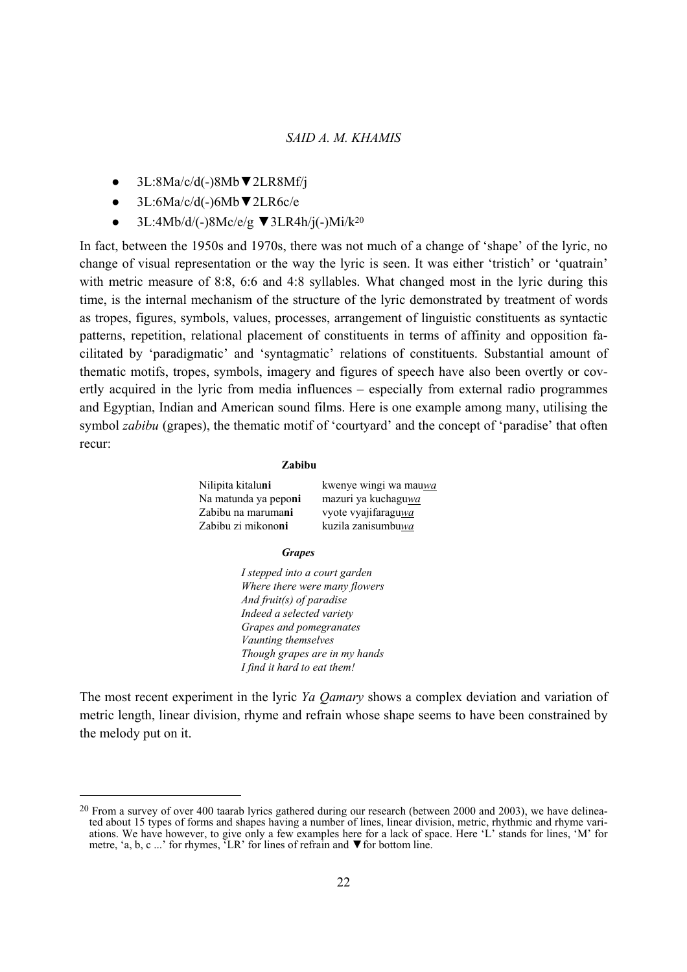- 3L:8Ma/c/d(-)8Mb▼2LR8Mf/j
- 3L:6Ma/c/d(-)6Mb▼2LR6c/e

 $\overline{a}$ 

● 3L:4Mb/d/(-)8Mc/e/g ▼3LR4h/j(-)Mi/k20

In fact, between the 1950s and 1970s, there was not much of a change of 'shape' of the lyric, no change of visual representation or the way the lyric is seen. It was either 'tristich' or 'quatrain' with metric measure of 8:8, 6:6 and 4:8 syllables. What changed most in the lyric during this time, is the internal mechanism of the structure of the lyric demonstrated by treatment of words as tropes, figures, symbols, values, processes, arrangement of linguistic constituents as syntactic patterns, repetition, relational placement of constituents in terms of affinity and opposition facilitated by 'paradigmatic' and 'syntagmatic' relations of constituents. Substantial amount of thematic motifs, tropes, symbols, imagery and figures of speech have also been overtly or covertly acquired in the lyric from media influences – especially from external radio programmes and Egyptian, Indian and American sound films. Here is one example among many, utilising the symbol *zabibu* (grapes), the thematic motif of 'courtyard' and the concept of 'paradise' that often recur:

#### **Zabibu**

| Nilipita kitaluni            | kwenye wingi wa mauwa |
|------------------------------|-----------------------|
| Na matunda ya pepo <b>ni</b> | mazuri ya kuchaguwa   |
| Zabibu na maruma <b>ni</b>   | vyote vyajifaraguwa   |
| Zabibu zi mikono <b>ni</b>   | kuzila zanisumbuwa    |

#### *Grapes*

 *I stepped into a court garden Where there were many flowers And fruit(s) of paradise Indeed a selected variety Grapes and pomegranates Vaunting themselves Though grapes are in my hands I find it hard to eat them!*

The most recent experiment in the lyric *Ya Qamary* shows a complex deviation and variation of metric length, linear division, rhyme and refrain whose shape seems to have been constrained by the melody put on it.

 $^{20}$  From a survey of over 400 taarab lyrics gathered during our research (between 2000 and 2003), we have delineated about 15 types of forms and shapes having a number of lines, linear division, metric, rhythmic and rhyme variations. We have however, to give only a few examples here for a lack of space. Here 'L' stands for lines, 'M' for metre, 'a, b, c ...' for rhymes,  $\tilde{L}$ R' for lines of refrain and  $\nabla$  for bottom line.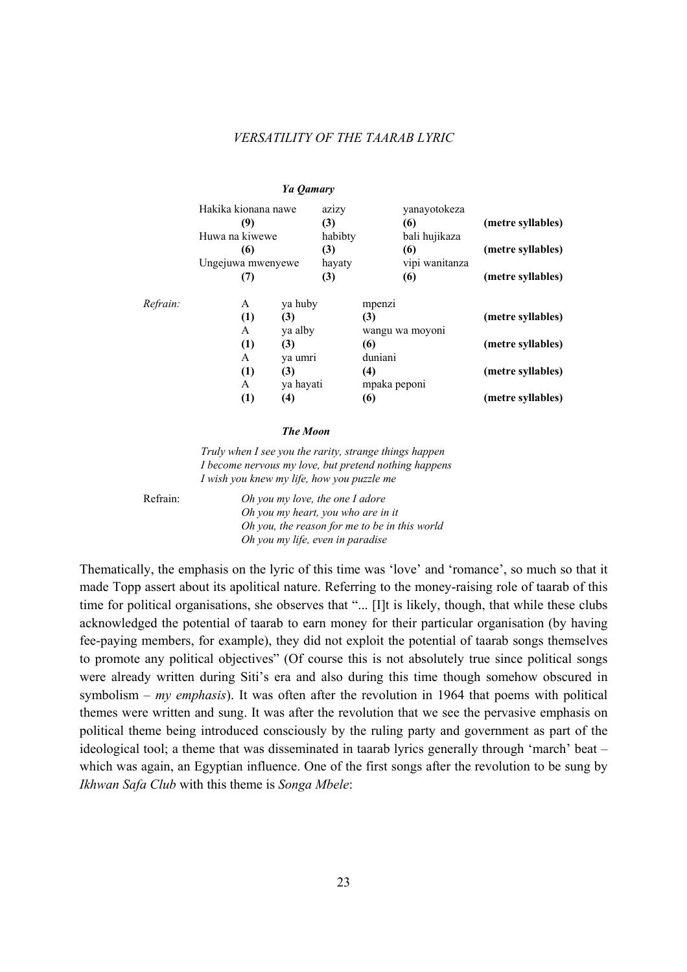|          |                                              | Ya Qamary        |                         |                     |                                      |                   |
|----------|----------------------------------------------|------------------|-------------------------|---------------------|--------------------------------------|-------------------|
|          | Hakika kionana nawe<br>(9)<br>Huwa na kiwewe |                  | azizy<br>(3)<br>habibty |                     | yanayotokeza<br>(6)<br>bali hujikaza | (metre syllables) |
|          | (6)<br>Ungejuwa mwenyewe                     |                  | (3)<br>hayaty           |                     | (6)<br>vipi wanitanza                | (metre syllables) |
|          | (7)                                          |                  | (3)                     |                     | (6)                                  | (metre syllables) |
| Refrain: | A<br>(1)                                     | ya huby<br>(3)   |                         | mpenzi<br>(3)       |                                      | (metre syllables) |
|          | A<br>(1)                                     | ya alby<br>(3)   |                         | (6)                 | wangu wa moyoni                      | (metre syllables) |
|          | A                                            | ya umri          |                         | duniani             |                                      |                   |
|          | (1)<br>A                                     | (3)<br>ya hayati |                         | (4)<br>mpaka peponi |                                      | (metre syllables) |
|          | (1)                                          | (4)              |                         | (6)                 |                                      | (metre syllables) |

#### *The Moon*

*Truly when I see you the rarity, strange things happen I become nervous my love, but pretend nothing happens I wish you knew my life, how you puzzle me* 

 Refrain: *Oh you my love, the one I adore Oh you my heart, you who are in it Oh you, the reason for me to be in this world Oh you my life, even in paradise*

Thematically, the emphasis on the lyric of this time was 'love' and 'romance', so much so that it made Topp assert about its apolitical nature. Referring to the money-raising role of taarab of this time for political organisations, she observes that "... [I]t is likely, though, that while these clubs acknowledged the potential of taarab to earn money for their particular organisation (by having fee-paying members, for example), they did not exploit the potential of taarab songs themselves to promote any political objectives" (Of course this is not absolutely true since political songs were already written during Siti's era and also during this time though somehow obscured in symbolism – *my emphasis*). It was often after the revolution in 1964 that poems with political themes were written and sung. It was after the revolution that we see the pervasive emphasis on political theme being introduced consciously by the ruling party and government as part of the ideological tool; a theme that was disseminated in taarab lyrics generally through 'march' beat – which was again, an Egyptian influence. One of the first songs after the revolution to be sung by *Ikhwan Safa Club* with this theme is *Songa Mbele*: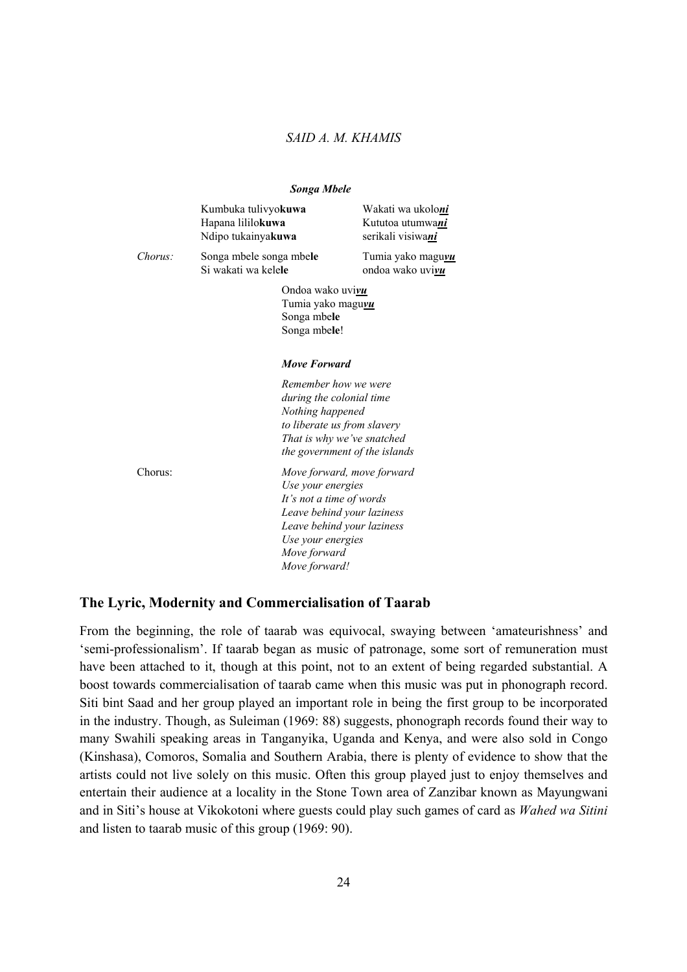|         | <b>Songa Mbele</b>                                                                                  |                                                                                            |
|---------|-----------------------------------------------------------------------------------------------------|--------------------------------------------------------------------------------------------|
|         | Kumbuka tulivyokuwa<br>Hapana lililokuwa<br>Ndipo tukainyakuwa                                      | Wakati wa ukoloni<br>Kututoa utumwani<br>serikali visiwani                                 |
| Chorus: | Songa mbele songa mbele<br>Si wakati wa kelele                                                      | Tumia yako maguvu<br>ondoa wako uvivu                                                      |
|         | Ondoa wako uvivu<br>Tumia yako maguvu<br>Songa mbele<br>Songa mbele!                                |                                                                                            |
|         | <b>Move Forward</b>                                                                                 |                                                                                            |
|         | Remember how we were<br>during the colonial time<br>Nothing happened                                | to liberate us from slavery<br>That is why we've snatched<br>the government of the islands |
| Chorus: | Use your energies<br>It's not a time of words<br>Use your energies<br>Move forward<br>Move forward! | Move forward, move forward<br>Leave behind your laziness<br>Leave behind your laziness     |

### **The Lyric, Modernity and Commercialisation of Taarab**

From the beginning, the role of taarab was equivocal, swaying between 'amateurishness' and 'semi-professionalism'. If taarab began as music of patronage, some sort of remuneration must have been attached to it, though at this point, not to an extent of being regarded substantial. A boost towards commercialisation of taarab came when this music was put in phonograph record. Siti bint Saad and her group played an important role in being the first group to be incorporated in the industry. Though, as Suleiman (1969: 88) suggests, phonograph records found their way to many Swahili speaking areas in Tanganyika, Uganda and Kenya, and were also sold in Congo (Kinshasa), Comoros, Somalia and Southern Arabia, there is plenty of evidence to show that the artists could not live solely on this music. Often this group played just to enjoy themselves and entertain their audience at a locality in the Stone Town area of Zanzibar known as Mayungwani and in Siti's house at Vikokotoni where guests could play such games of card as *Wahed wa Sitini* and listen to taarab music of this group (1969: 90).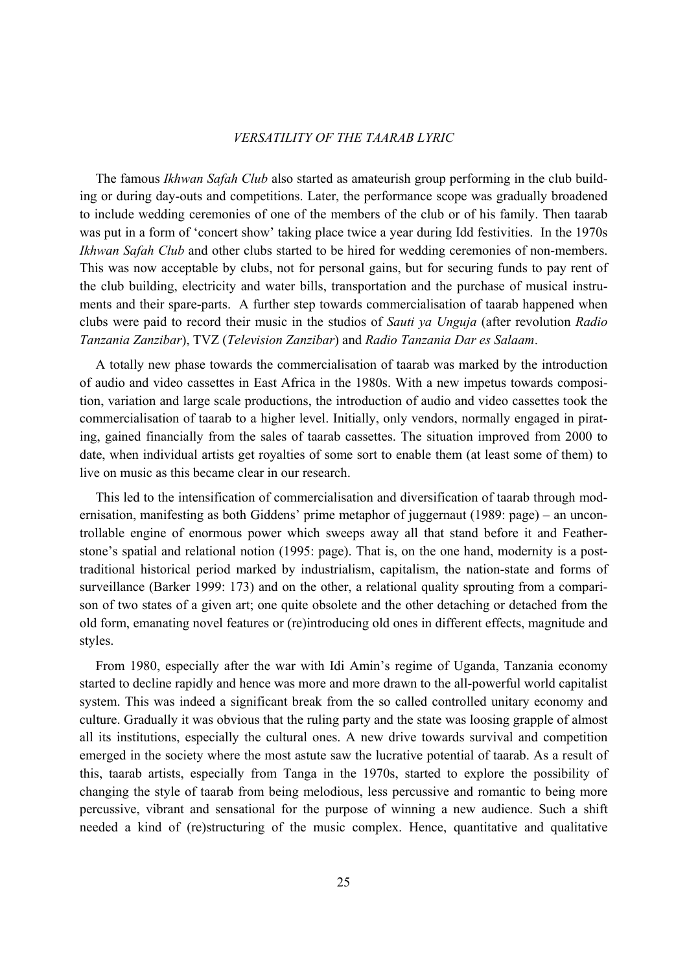The famous *Ikhwan Safah Club* also started as amateurish group performing in the club building or during day-outs and competitions. Later, the performance scope was gradually broadened to include wedding ceremonies of one of the members of the club or of his family. Then taarab was put in a form of 'concert show' taking place twice a year during Idd festivities. In the 1970s *Ikhwan Safah Club* and other clubs started to be hired for wedding ceremonies of non-members. This was now acceptable by clubs, not for personal gains, but for securing funds to pay rent of the club building, electricity and water bills, transportation and the purchase of musical instruments and their spare-parts. A further step towards commercialisation of taarab happened when clubs were paid to record their music in the studios of *Sauti ya Unguja* (after revolution *Radio Tanzania Zanzibar*), TVZ (*Television Zanzibar*) and *Radio Tanzania Dar es Salaam*.

 A totally new phase towards the commercialisation of taarab was marked by the introduction of audio and video cassettes in East Africa in the 1980s. With a new impetus towards composition, variation and large scale productions, the introduction of audio and video cassettes took the commercialisation of taarab to a higher level. Initially, only vendors, normally engaged in pirating, gained financially from the sales of taarab cassettes. The situation improved from 2000 to date, when individual artists get royalties of some sort to enable them (at least some of them) to live on music as this became clear in our research.

 This led to the intensification of commercialisation and diversification of taarab through modernisation, manifesting as both Giddens' prime metaphor of juggernaut (1989: page) – an uncontrollable engine of enormous power which sweeps away all that stand before it and Featherstone's spatial and relational notion (1995: page). That is, on the one hand, modernity is a posttraditional historical period marked by industrialism, capitalism, the nation-state and forms of surveillance (Barker 1999: 173) and on the other, a relational quality sprouting from a comparison of two states of a given art; one quite obsolete and the other detaching or detached from the old form, emanating novel features or (re)introducing old ones in different effects, magnitude and styles.

 From 1980, especially after the war with Idi Amin's regime of Uganda, Tanzania economy started to decline rapidly and hence was more and more drawn to the all-powerful world capitalist system. This was indeed a significant break from the so called controlled unitary economy and culture. Gradually it was obvious that the ruling party and the state was loosing grapple of almost all its institutions, especially the cultural ones. A new drive towards survival and competition emerged in the society where the most astute saw the lucrative potential of taarab. As a result of this, taarab artists, especially from Tanga in the 1970s, started to explore the possibility of changing the style of taarab from being melodious, less percussive and romantic to being more percussive, vibrant and sensational for the purpose of winning a new audience. Such a shift needed a kind of (re)structuring of the music complex. Hence, quantitative and qualitative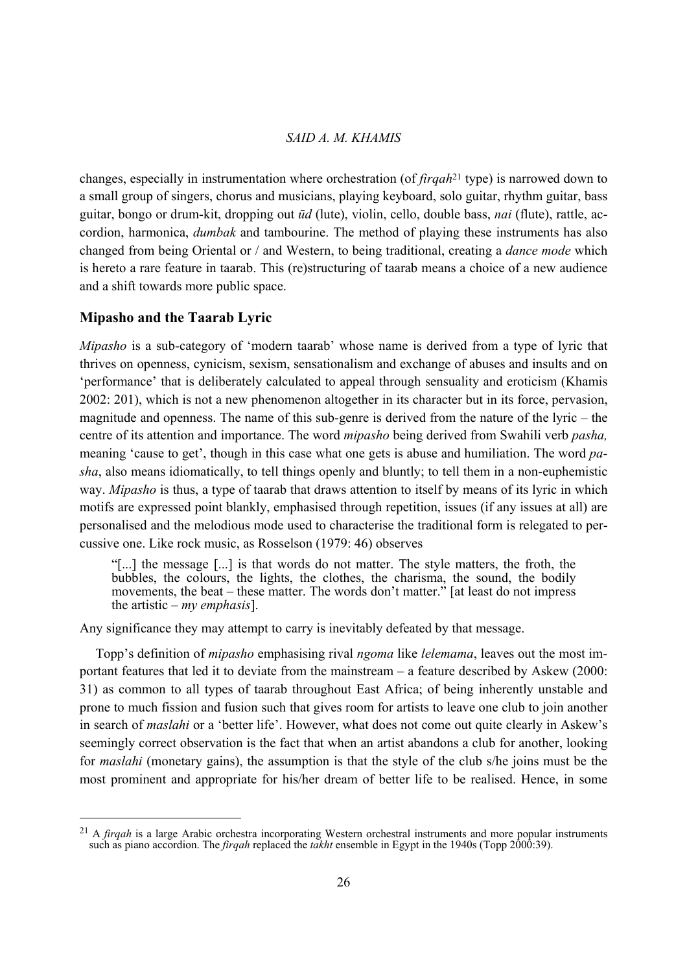changes, especially in instrumentation where orchestration (of *firqah*21 type) is narrowed down to a small group of singers, chorus and musicians, playing keyboard, solo guitar, rhythm guitar, bass guitar, bongo or drum-kit, dropping out *ūd* (lute), violin, cello, double bass, *nai* (flute), rattle, accordion, harmonica, *dumbak* and tambourine. The method of playing these instruments has also changed from being Oriental or / and Western, to being traditional, creating a *dance mode* which is hereto a rare feature in taarab. This (re)structuring of taarab means a choice of a new audience and a shift towards more public space.

### **Mipasho and the Taarab Lyric**

*Mipasho* is a sub-category of 'modern taarab' whose name is derived from a type of lyric that thrives on openness, cynicism, sexism, sensationalism and exchange of abuses and insults and on 'performance' that is deliberately calculated to appeal through sensuality and eroticism (Khamis 2002: 201), which is not a new phenomenon altogether in its character but in its force, pervasion, magnitude and openness. The name of this sub-genre is derived from the nature of the lyric – the centre of its attention and importance. The word *mipasho* being derived from Swahili verb *pasha,* meaning 'cause to get', though in this case what one gets is abuse and humiliation. The word *pasha*, also means idiomatically, to tell things openly and bluntly; to tell them in a non-euphemistic way. *Mipasho* is thus, a type of taarab that draws attention to itself by means of its lyric in which motifs are expressed point blankly, emphasised through repetition, issues (if any issues at all) are personalised and the melodious mode used to characterise the traditional form is relegated to percussive one. Like rock music, as Rosselson (1979: 46) observes

"[...] the message [...] is that words do not matter. The style matters, the froth, the bubbles, the colours, the lights, the clothes, the charisma, the sound, the bodily movements, the beat – these matter. The words don't matter." [at least do not impress the artistic – *my emphasis*].

Any significance they may attempt to carry is inevitably defeated by that message.

 Topp's definition of *mipasho* emphasising rival *ngoma* like *lelemama*, leaves out the most important features that led it to deviate from the mainstream – a feature described by Askew (2000: 31) as common to all types of taarab throughout East Africa; of being inherently unstable and prone to much fission and fusion such that gives room for artists to leave one club to join another in search of *maslahi* or a 'better life'. However, what does not come out quite clearly in Askew's seemingly correct observation is the fact that when an artist abandons a club for another, looking for *maslahi* (monetary gains), the assumption is that the style of the club s/he joins must be the most prominent and appropriate for his/her dream of better life to be realised. Hence, in some

<sup>21</sup> A *firqah* is a large Arabic orchestra incorporating Western orchestral instruments and more popular instruments such as piano accordion. The *firqah* replaced the *takht* ensemble in Egypt in the 1940s (Topp 2000:39).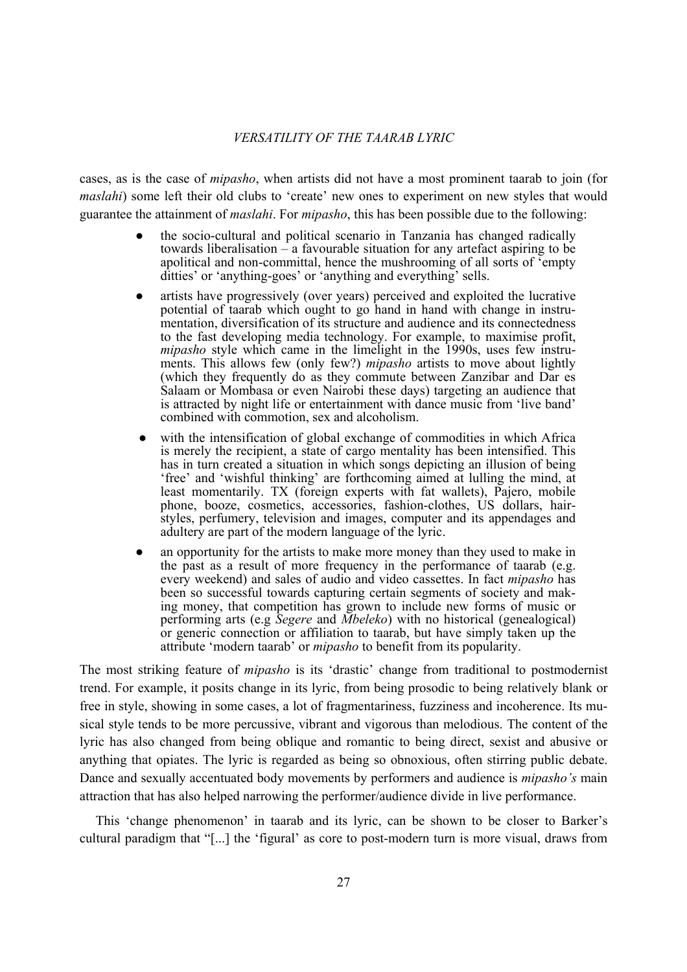cases, as is the case of *mipasho*, when artists did not have a most prominent taarab to join (for *maslahi*) some left their old clubs to 'create' new ones to experiment on new styles that would guarantee the attainment of *maslahi*. For *mipasho*, this has been possible due to the following:

- the socio-cultural and political scenario in Tanzania has changed radically towards liberalisation – a favourable situation for any artefact aspiring to be apolitical and non-committal, hence the mushrooming of all sorts of 'empty ditties' or 'anything-goes' or 'anything and everything' sells.
- artists have progressively (over years) perceived and exploited the lucrative potential of taarab which ought to go hand in hand with change in instrumentation, diversification of its structure and audience and its connectedness to the fast developing media technology. For example, to maximise profit, *mipasho* style which came in the limelight in the 1990s, uses few instruments. This allows few (only few?) *mipasho* artists to move about lightly (which they frequently do as they commute between Zanzibar and Dar es Salaam or Mombasa or even Nairobi these days) targeting an audience that is attracted by night life or entertainment with dance music from 'live band' combined with commotion, sex and alcoholism.
- with the intensification of global exchange of commodities in which Africa is merely the recipient, a state of cargo mentality has been intensified. This has in turn created a situation in which songs depicting an illusion of being 'free' and 'wishful thinking' are forthcoming aimed at lulling the mind, at least momentarily. TX (foreign experts with fat wallets), Pajero, mobile phone, booze, cosmetics, accessories, fashion-clothes, US dollars, hairstyles, perfumery, television and images, computer and its appendages and adultery are part of the modern language of the lyric.
- an opportunity for the artists to make more money than they used to make in the past as a result of more frequency in the performance of taarab (e.g. every weekend) and sales of audio and video cassettes. In fact *mipasho* has been so successful towards capturing certain segments of society and making money, that competition has grown to include new forms of music or performing arts (e.g *Segere* and *Mbeleko*) with no historical (genealogical) or generic connection or affiliation to taarab, but have simply taken up the attribute 'modern taarab' or *mipasho* to benefit from its popularity.

The most striking feature of *mipasho* is its 'drastic' change from traditional to postmodernist trend. For example, it posits change in its lyric, from being prosodic to being relatively blank or free in style, showing in some cases, a lot of fragmentariness, fuzziness and incoherence. Its musical style tends to be more percussive, vibrant and vigorous than melodious. The content of the lyric has also changed from being oblique and romantic to being direct, sexist and abusive or anything that opiates. The lyric is regarded as being so obnoxious, often stirring public debate. Dance and sexually accentuated body movements by performers and audience is *mipasho's* main attraction that has also helped narrowing the performer/audience divide in live performance.

 This 'change phenomenon' in taarab and its lyric, can be shown to be closer to Barker's cultural paradigm that "[...] the 'figural' as core to post-modern turn is more visual, draws from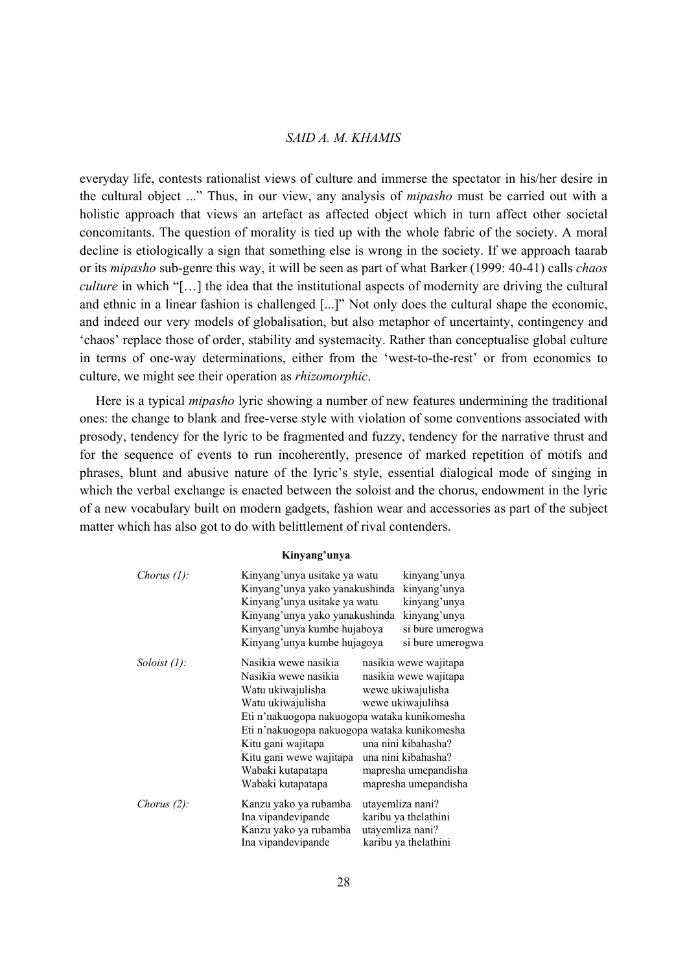everyday life, contests rationalist views of culture and immerse the spectator in his/her desire in the cultural object ..." Thus, in our view, any analysis of *mipasho* must be carried out with a holistic approach that views an artefact as affected object which in turn affect other societal concomitants. The question of morality is tied up with the whole fabric of the society. A moral decline is etiologically a sign that something else is wrong in the society. If we approach taarab or its *mipasho* sub-genre this way, it will be seen as part of what Barker (1999: 40-41) calls *chaos culture* in which "[...] the idea that the institutional aspects of modernity are driving the cultural and ethnic in a linear fashion is challenged [...]" Not only does the cultural shape the economic, and indeed our very models of globalisation, but also metaphor of uncertainty, contingency and 'chaos' replace those of order, stability and systemacity. Rather than conceptualise global culture in terms of one-way determinations, either from the 'west-to-the-rest' or from economics to culture, we might see their operation as *rhizomorphic*.

 Here is a typical *mipasho* lyric showing a number of new features undermining the traditional ones: the change to blank and free-verse style with violation of some conventions associated with prosody, tendency for the lyric to be fragmented and fuzzy, tendency for the narrative thrust and for the sequence of events to run incoherently, presence of marked repetition of motifs and phrases, blunt and abusive nature of the lyric's style, essential dialogical mode of singing in which the verbal exchange is enacted between the soloist and the chorus, endowment in the lyric of a new vocabulary built on modern gadgets, fashion wear and accessories as part of the subject matter which has also got to do with belittlement of rival contenders.

#### **Kinyang'unya**

| Chorus $(l)$ :  | Kinyang'unya usitake ya watu<br>Kinyang'unya yako yanakushinda<br>Kinyang'unya usitake ya watu<br>Kinyang'unya yako yanakushinda<br>Kinyang'unya kumbe hujaboya<br>Kinyang'unya kumbe hujagoya                                                                                    | kinyang'unya<br>kinyang'unya<br>kinyang'unya<br>kinyang'unya<br>si bure umerogwa<br>si bure umerogwa                                                                                   |
|-----------------|-----------------------------------------------------------------------------------------------------------------------------------------------------------------------------------------------------------------------------------------------------------------------------------|----------------------------------------------------------------------------------------------------------------------------------------------------------------------------------------|
| Soloist $(l)$ : | Nasikia wewe nasikia<br>Nasikia wewe nasikia<br>Watu ukiwajulisha<br>Watu ukiwajulisha<br>Eti n'nakuogopa nakuogopa wataka kunikomesha<br>Eti n'nakuogopa nakuogopa wataka kunikomesha<br>Kitu gani wajitapa<br>Kitu gani wewe wajitapa<br>Wabaki kutapatapa<br>Wabaki kutapatapa | nasikia wewe wajitapa<br>nasikia wewe wajitapa<br>wewe ukiwajulisha<br>wewe ukiwajulihsa<br>una nini kibahasha?<br>una nini kibahasha?<br>mapresha umepandisha<br>mapresha umepandisha |
| Chorus $(2)$ :  | Kanzu yako ya rubamba<br>Ina vipandevipande<br>Kanzu yako ya rubamba<br>Ina vipandevipande                                                                                                                                                                                        | utayemliza nani?<br>karibu ya thelathini<br>utayemliza nani?<br>karibu ya thelathini                                                                                                   |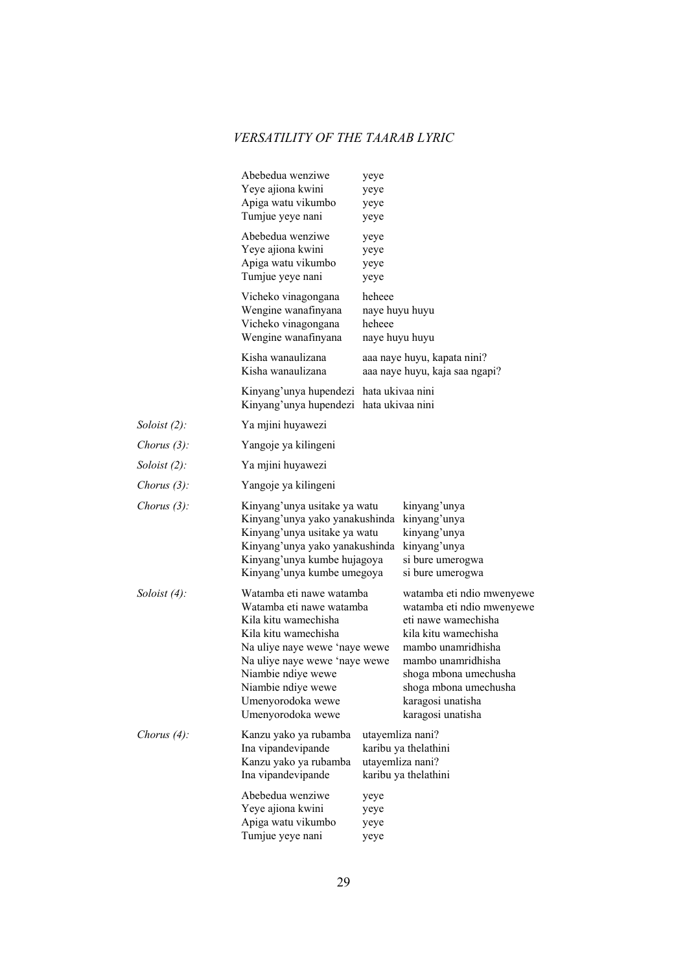|                 | Abebedua wenziwe<br>Yeye ajiona kwini<br>Apiga watu vikumbo<br>Tumjue yeye nani                                                                                                                                                                              | yeye<br>yeye<br>yeye<br>yeye                         |                                                                                                                                                                                                                                               |
|-----------------|--------------------------------------------------------------------------------------------------------------------------------------------------------------------------------------------------------------------------------------------------------------|------------------------------------------------------|-----------------------------------------------------------------------------------------------------------------------------------------------------------------------------------------------------------------------------------------------|
|                 | Abebedua wenziwe<br>Yeye ajiona kwini<br>Apiga watu vikumbo<br>Tumjue yeye nani                                                                                                                                                                              | yeye<br>yeye<br>yeye<br>yeye                         |                                                                                                                                                                                                                                               |
|                 | Vicheko vinagongana<br>Wengine wanafinyana<br>Vicheko vinagongana<br>Wengine wanafinyana                                                                                                                                                                     | heheee<br>naye huyu huyu<br>heheee<br>naye huyu huyu |                                                                                                                                                                                                                                               |
|                 | Kisha wanaulizana<br>Kisha wanaulizana                                                                                                                                                                                                                       |                                                      | aaa naye huyu, kapata nini?<br>aaa naye huyu, kaja saa ngapi?                                                                                                                                                                                 |
|                 | Kinyang'unya hupendezi hata ukivaa nini<br>Kinyang'unya hupendezi hata ukivaa nini                                                                                                                                                                           |                                                      |                                                                                                                                                                                                                                               |
| Soloist $(2)$ : | Ya mjini huyawezi                                                                                                                                                                                                                                            |                                                      |                                                                                                                                                                                                                                               |
| Chorus $(3)$ :  | Yangoje ya kilingeni                                                                                                                                                                                                                                         |                                                      |                                                                                                                                                                                                                                               |
| Soloist $(2)$ : | Ya mjini huyawezi                                                                                                                                                                                                                                            |                                                      |                                                                                                                                                                                                                                               |
| Chorus $(3)$ :  | Yangoje ya kilingeni                                                                                                                                                                                                                                         |                                                      |                                                                                                                                                                                                                                               |
| Chorus $(3)$ :  | Kinyang'unya usitake ya watu<br>Kinyang'unya yako yanakushinda<br>Kinyang'unya usitake ya watu<br>Kinyang'unya yako yanakushinda<br>Kinyang'unya kumbe hujagoya<br>Kinyang'unya kumbe umegoya                                                                |                                                      | kinyang'unya<br>kinyang'unya<br>kinyang'unya<br>kinyang'unya<br>si bure umerogwa<br>si bure umerogwa                                                                                                                                          |
| Soloist $(4)$ : | Watamba eti nawe watamba<br>Watamba eti nawe watamba<br>Kila kitu wamechisha<br>Kila kitu wamechisha<br>Na uliye naye wewe 'naye wewe<br>Na uliye naye wewe 'naye wewe<br>Niambie ndiye wewe<br>Niambie ndiye wewe<br>Umenyorodoka wewe<br>Umenyorodoka wewe |                                                      | watamba eti ndio mwenyewe<br>watamba eti ndio mwenyewe<br>eti nawe wamechisha<br>kila kitu wamechisha<br>mambo unamridhisha<br>mambo unamridhisha<br>shoga mbona umechusha<br>shoga mbona umechusha<br>karagosi unatisha<br>karagosi unatisha |
| Chorus (4):     | Kanzu yako ya rubamba<br>Ina vipandevipande<br>Kanzu yako ya rubamba<br>Ina vipandevipande                                                                                                                                                                   |                                                      | utayemliza nani?<br>karibu ya thelathini<br>utayemliza nani?<br>karibu ya thelathini                                                                                                                                                          |
|                 | Abebedua wenziwe<br>Yeye ajiona kwini<br>Apiga watu vikumbo<br>Tumjue yeye nani                                                                                                                                                                              | yeye<br>yeye<br>yeye<br>yeye                         |                                                                                                                                                                                                                                               |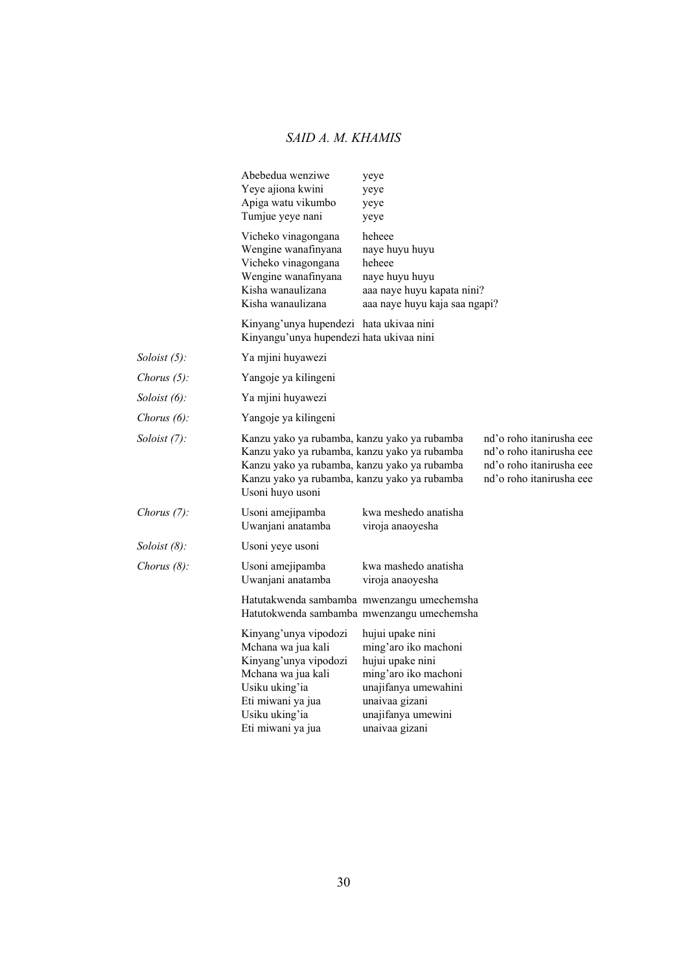|                 | Abebedua wenziwe<br>Yeye ajiona kwini<br>Apiga watu vikumbo<br>Tumjue yeye nani                                                                                                                                  | yeye<br>yeye<br>yeye<br>yeye                                                                                                                                           |                                                                                                              |
|-----------------|------------------------------------------------------------------------------------------------------------------------------------------------------------------------------------------------------------------|------------------------------------------------------------------------------------------------------------------------------------------------------------------------|--------------------------------------------------------------------------------------------------------------|
|                 | Vicheko vinagongana<br>Wengine wanafinyana<br>Vicheko vinagongana<br>Wengine wanafinyana<br>Kisha wanaulizana<br>Kisha wanaulizana                                                                               | heheee<br>naye huyu huyu<br>heheee<br>naye huyu huyu<br>aaa naye huyu kapata nini?<br>aaa naye huyu kaja saa ngapi?                                                    |                                                                                                              |
|                 | Kinyang'unya hupendezi hata ukivaa nini<br>Kinyangu'unya hupendezi hata ukivaa nini                                                                                                                              |                                                                                                                                                                        |                                                                                                              |
| Soloist $(5)$ : | Ya mjini huyawezi                                                                                                                                                                                                |                                                                                                                                                                        |                                                                                                              |
| Chorus $(5)$ :  | Yangoje ya kilingeni                                                                                                                                                                                             |                                                                                                                                                                        |                                                                                                              |
| Soloist $(6)$ : | Ya mjini huyawezi                                                                                                                                                                                                |                                                                                                                                                                        |                                                                                                              |
| Chorus $(6)$ :  | Yangoje ya kilingeni                                                                                                                                                                                             |                                                                                                                                                                        |                                                                                                              |
| Soloist $(7)$ : | Kanzu yako ya rubamba, kanzu yako ya rubamba<br>Kanzu yako ya rubamba, kanzu yako ya rubamba<br>Kanzu yako ya rubamba, kanzu yako ya rubamba<br>Kanzu yako ya rubamba, kanzu yako ya rubamba<br>Usoni huyo usoni |                                                                                                                                                                        | nd'o roho itanirusha eee<br>nd'o roho itanirusha eee<br>nd'o roho itanirusha eee<br>nd'o roho itanirusha eee |
| Chorus $(7)$ :  | Usoni amejipamba<br>Uwanjani anatamba                                                                                                                                                                            | kwa meshedo anatisha<br>viroja anaoyesha                                                                                                                               |                                                                                                              |
| Soloist $(8)$ : | Usoni yeye usoni                                                                                                                                                                                                 |                                                                                                                                                                        |                                                                                                              |
| Chorus $(8)$ :  | Usoni amejipamba<br>Uwanjani anatamba                                                                                                                                                                            | kwa mashedo anatisha<br>viroja anaoyesha                                                                                                                               |                                                                                                              |
|                 |                                                                                                                                                                                                                  | Hatutakwenda sambamba mwenzangu umechemsha<br>Hatutokwenda sambamba mwenzangu umechemsha                                                                               |                                                                                                              |
|                 | Kinyang'unya vipodozi<br>Mchana wa jua kali<br>Kinyang'unya vipodozi<br>Mchana wa jua kali<br>Usiku uking'ia<br>Eti miwani ya jua<br>Usiku uking'ia<br>Eti miwani ya jua                                         | hujui upake nini<br>ming'aro iko machoni<br>hujui upake nini<br>ming'aro iko machoni<br>unajifanya umewahini<br>unaivaa gizani<br>unajifanya umewini<br>unaivaa gizani |                                                                                                              |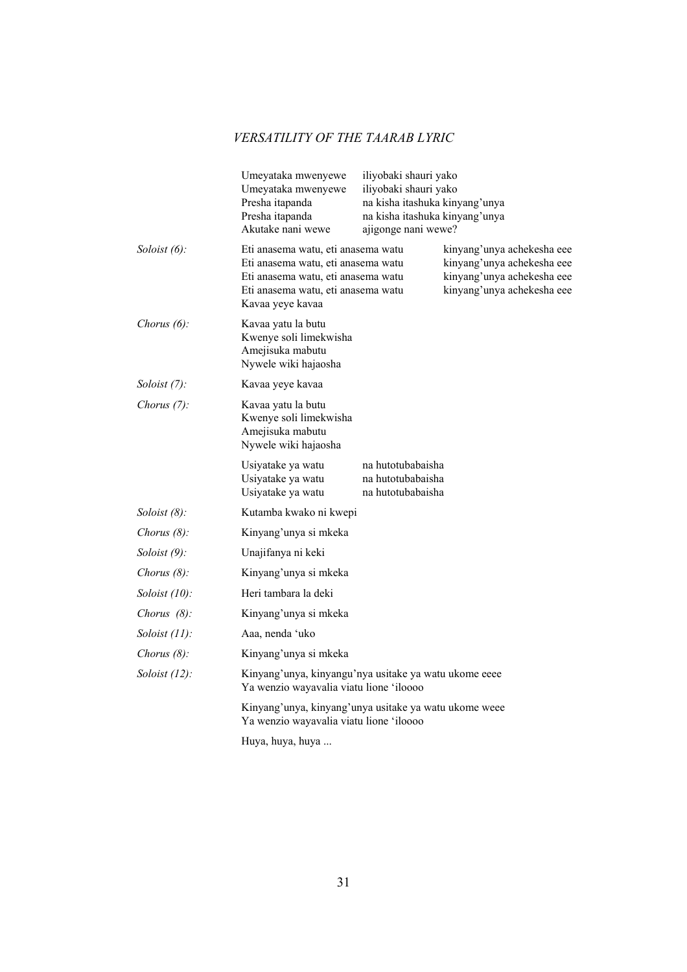|                  | Umeyataka mwenyewe<br>iliyobaki shauri yako<br>Umeyataka mwenyewe<br>iliyobaki shauri yako<br>Presha itapanda<br>na kisha itashuka kinyang'unya<br>Presha itapanda<br>na kisha itashuka kinyang'unya<br>Akutake nani wewe<br>ajigonge nani wewe?                                                 |  |
|------------------|--------------------------------------------------------------------------------------------------------------------------------------------------------------------------------------------------------------------------------------------------------------------------------------------------|--|
| Soloist $(6)$ :  | Eti anasema watu, eti anasema watu<br>kinyang'unya achekesha eee<br>Eti anasema watu, eti anasema watu<br>kinyang'unya achekesha eee<br>Eti anasema watu, eti anasema watu<br>kinyang'unya achekesha eee<br>kinyang'unya achekesha eee<br>Eti anasema watu, eti anasema watu<br>Kavaa yeye kavaa |  |
| Chorus $(6)$ :   | Kavaa yatu la butu<br>Kwenye soli limekwisha<br>Amejisuka mabutu<br>Nywele wiki hajaosha                                                                                                                                                                                                         |  |
| Soloist $(7)$ :  | Kavaa yeye kavaa                                                                                                                                                                                                                                                                                 |  |
| Chorus $(7)$ :   | Kavaa yatu la butu<br>Kwenye soli limekwisha<br>Amejisuka mabutu<br>Nywele wiki hajaosha                                                                                                                                                                                                         |  |
|                  | Usiyatake ya watu<br>na hutotubabaisha<br>Usiyatake ya watu<br>na hutotubabaisha<br>Usiyatake ya watu<br>na hutotubabaisha                                                                                                                                                                       |  |
| Soloist $(8)$ :  | Kutamba kwako ni kwepi                                                                                                                                                                                                                                                                           |  |
| Chorus $(8)$ :   | Kinyang'unya si mkeka                                                                                                                                                                                                                                                                            |  |
| Soloist $(9)$ :  | Unajifanya ni keki                                                                                                                                                                                                                                                                               |  |
| Chorus $(8)$ :   | Kinyang'unya si mkeka                                                                                                                                                                                                                                                                            |  |
| Soloist $(10)$ : | Heri tambara la deki                                                                                                                                                                                                                                                                             |  |
| Chorus $(8)$ :   | Kinyang'unya si mkeka                                                                                                                                                                                                                                                                            |  |
| Soloist $(11)$ : | Aaa, nenda 'uko                                                                                                                                                                                                                                                                                  |  |
| Chorus $(8)$ :   | Kinyang'unya si mkeka                                                                                                                                                                                                                                                                            |  |
| Soloist $(12)$ : | Kinyang'unya, kinyangu'nya usitake ya watu ukome eeee<br>Ya wenzio wayavalia viatu lione 'iloooo                                                                                                                                                                                                 |  |
|                  | Kinyang'unya, kinyang'unya usitake ya watu ukome weee<br>Ya wenzio wayavalia viatu lione 'iloooo                                                                                                                                                                                                 |  |
|                  | Huya, huya, huya                                                                                                                                                                                                                                                                                 |  |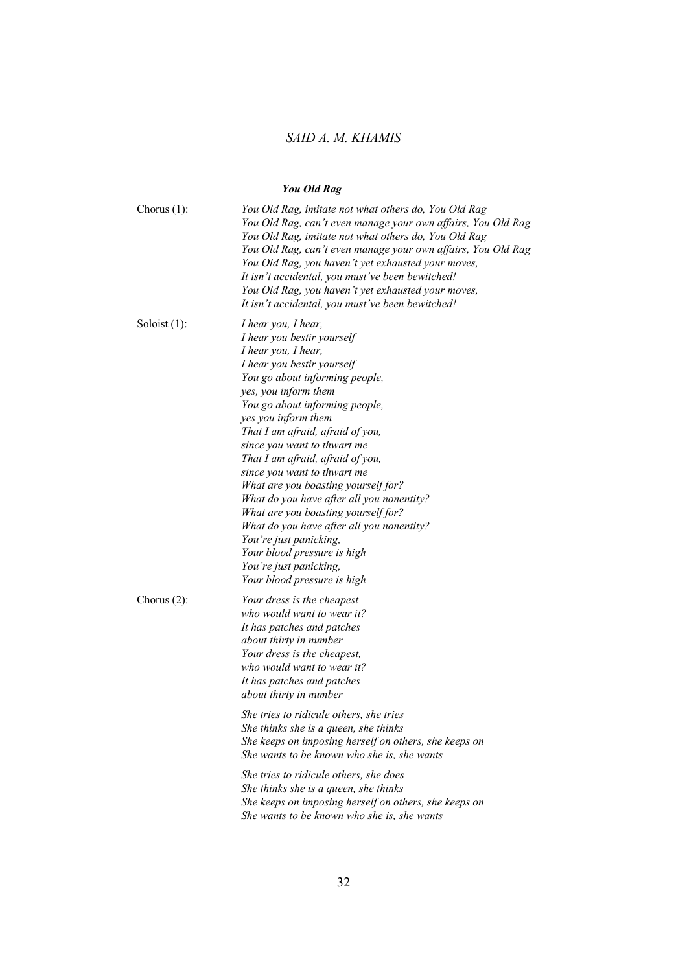# *You Old Rag*

| Chorus $(1)$ :  | You Old Rag, imitate not what others do, You Old Rag<br>You Old Rag, can't even manage your own affairs, You Old Rag<br>You Old Rag, imitate not what others do, You Old Rag<br>You Old Rag, can't even manage your own affairs, You Old Rag<br>You Old Rag, you haven't yet exhausted your moves,<br>It isn't accidental, you must've been bewitched!<br>You Old Rag, you haven't yet exhausted your moves,<br>It isn't accidental, you must've been bewitched!                                                                                                                                                                                          |
|-----------------|-----------------------------------------------------------------------------------------------------------------------------------------------------------------------------------------------------------------------------------------------------------------------------------------------------------------------------------------------------------------------------------------------------------------------------------------------------------------------------------------------------------------------------------------------------------------------------------------------------------------------------------------------------------|
| Soloist $(1)$ : | I hear you, I hear,<br>I hear you bestir yourself<br>I hear you, I hear,<br>I hear you bestir yourself<br>You go about informing people,<br>yes, you inform them<br>You go about informing people,<br>yes you inform them<br>That I am afraid, afraid of you,<br>since you want to thwart me<br>That I am afraid, afraid of you,<br>since you want to thwart me<br>What are you boasting yourself for?<br>What do you have after all you nonentity?<br>What are you boasting yourself for?<br>What do you have after all you nonentity?<br>You're just panicking,<br>Your blood pressure is high<br>You're just panicking,<br>Your blood pressure is high |
| Chorus $(2)$ :  | Your dress is the cheapest<br>who would want to wear it?<br>It has patches and patches<br>about thirty in number<br>Your dress is the cheapest,<br>who would want to wear it?<br>It has patches and patches<br>about thirty in number                                                                                                                                                                                                                                                                                                                                                                                                                     |
|                 | She tries to ridicule others, she tries<br>She thinks she is a queen, she thinks<br>She keeps on imposing herself on others, she keeps on<br>She wants to be known who she is, she wants                                                                                                                                                                                                                                                                                                                                                                                                                                                                  |
|                 | She tries to ridicule others, she does<br>She thinks she is a queen, she thinks<br>She keeps on imposing herself on others, she keeps on<br>She wants to be known who she is, she wants                                                                                                                                                                                                                                                                                                                                                                                                                                                                   |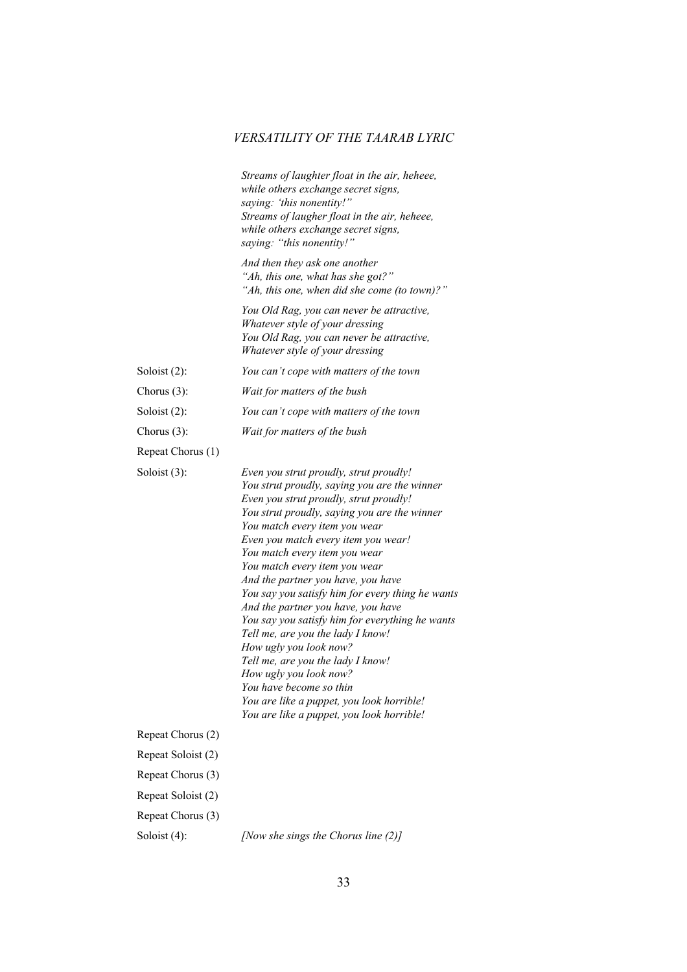|                    | Streams of laughter float in the air, heheee,<br>while others exchange secret signs,<br>saying: 'this nonentity!"<br>Streams of laugher float in the air, heheee,<br>while others exchange secret signs,<br>saying: "this nonentity!"                                                                                                                                                                                                                                                                                                                                                                                                                                                                                                                            |
|--------------------|------------------------------------------------------------------------------------------------------------------------------------------------------------------------------------------------------------------------------------------------------------------------------------------------------------------------------------------------------------------------------------------------------------------------------------------------------------------------------------------------------------------------------------------------------------------------------------------------------------------------------------------------------------------------------------------------------------------------------------------------------------------|
|                    | And then they ask one another<br>"Ah, this one, what has she got?"<br>"Ah, this one, when did she come (to town)?"                                                                                                                                                                                                                                                                                                                                                                                                                                                                                                                                                                                                                                               |
|                    | You Old Rag, you can never be attractive,<br>Whatever style of your dressing<br>You Old Rag, you can never be attractive,<br>Whatever style of your dressing                                                                                                                                                                                                                                                                                                                                                                                                                                                                                                                                                                                                     |
| Soloist $(2)$ :    | You can't cope with matters of the town                                                                                                                                                                                                                                                                                                                                                                                                                                                                                                                                                                                                                                                                                                                          |
| Chorus $(3)$ :     | Wait for matters of the bush                                                                                                                                                                                                                                                                                                                                                                                                                                                                                                                                                                                                                                                                                                                                     |
| Soloist $(2)$ :    | You can't cope with matters of the town                                                                                                                                                                                                                                                                                                                                                                                                                                                                                                                                                                                                                                                                                                                          |
| Chorus $(3)$ :     | Wait for matters of the bush                                                                                                                                                                                                                                                                                                                                                                                                                                                                                                                                                                                                                                                                                                                                     |
| Repeat Chorus (1)  |                                                                                                                                                                                                                                                                                                                                                                                                                                                                                                                                                                                                                                                                                                                                                                  |
| Soloist $(3)$ :    | Even you strut proudly, strut proudly!<br>You strut proudly, saying you are the winner<br>Even you strut proudly, strut proudly!<br>You strut proudly, saying you are the winner<br>You match every item you wear<br>Even you match every item you wear!<br>You match every item you wear<br>You match every item you wear<br>And the partner you have, you have<br>You say you satisfy him for every thing he wants<br>And the partner you have, you have<br>You say you satisfy him for everything he wants<br>Tell me, are you the lady I know!<br>How ugly you look now?<br>Tell me, are you the lady I know!<br>How ugly you look now?<br>You have become so thin<br>You are like a puppet, you look horrible!<br>You are like a puppet, you look horrible! |
| Repeat Chorus (2)  |                                                                                                                                                                                                                                                                                                                                                                                                                                                                                                                                                                                                                                                                                                                                                                  |
| Repeat Soloist (2) |                                                                                                                                                                                                                                                                                                                                                                                                                                                                                                                                                                                                                                                                                                                                                                  |
| Repeat Chorus (3)  |                                                                                                                                                                                                                                                                                                                                                                                                                                                                                                                                                                                                                                                                                                                                                                  |
| Repeat Soloist (2) |                                                                                                                                                                                                                                                                                                                                                                                                                                                                                                                                                                                                                                                                                                                                                                  |
| Repeat Chorus (3)  |                                                                                                                                                                                                                                                                                                                                                                                                                                                                                                                                                                                                                                                                                                                                                                  |
| Soloist (4):       | [Now she sings the Chorus line (2)]                                                                                                                                                                                                                                                                                                                                                                                                                                                                                                                                                                                                                                                                                                                              |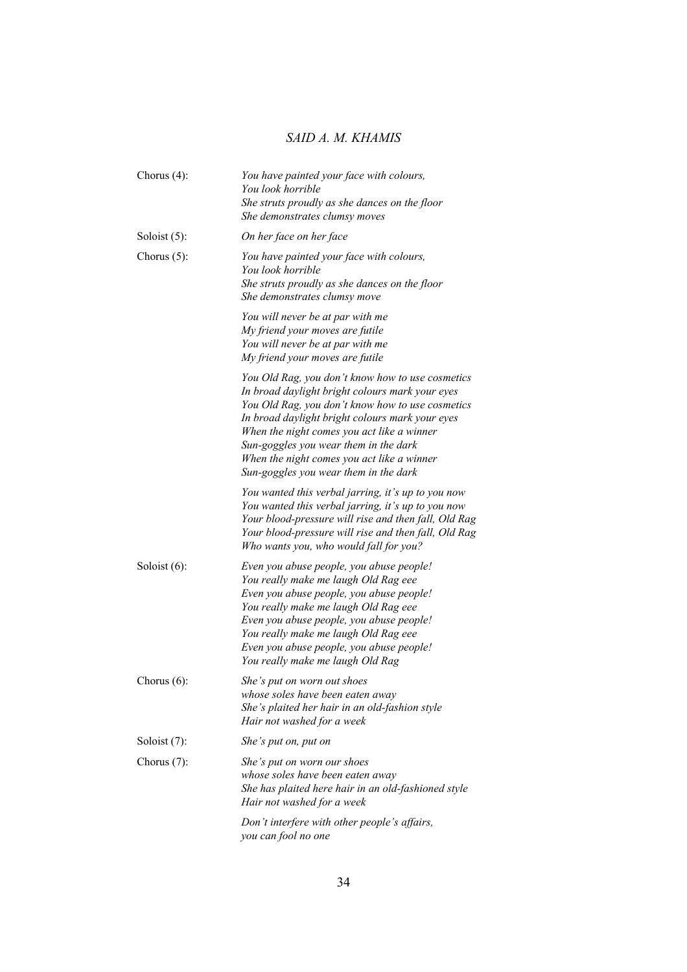| Chorus $(4)$ :  | You have painted your face with colours,<br>You look horrible<br>She struts proudly as she dances on the floor<br>She demonstrates clumsy moves                                                                                                                                                                                                                                          |
|-----------------|------------------------------------------------------------------------------------------------------------------------------------------------------------------------------------------------------------------------------------------------------------------------------------------------------------------------------------------------------------------------------------------|
| Soloist $(5)$ : | On her face on her face                                                                                                                                                                                                                                                                                                                                                                  |
| Chorus $(5)$ :  | You have painted your face with colours,<br>You look horrible<br>She struts proudly as she dances on the floor<br>She demonstrates clumsy move                                                                                                                                                                                                                                           |
|                 | You will never be at par with me<br>My friend your moves are futile<br>You will never be at par with me<br>My friend your moves are futile                                                                                                                                                                                                                                               |
|                 | You Old Rag, you don't know how to use cosmetics<br>In broad daylight bright colours mark your eyes<br>You Old Rag, you don't know how to use cosmetics<br>In broad daylight bright colours mark your eyes<br>When the night comes you act like a winner<br>Sun-goggles you wear them in the dark<br>When the night comes you act like a winner<br>Sun-goggles you wear them in the dark |
|                 | You wanted this verbal jarring, it's up to you now<br>You wanted this verbal jarring, it's up to you now<br>Your blood-pressure will rise and then fall, Old Rag<br>Your blood-pressure will rise and then fall, Old Rag<br>Who wants you, who would fall for you?                                                                                                                       |
| Soloist $(6)$ : | Even you abuse people, you abuse people!<br>You really make me laugh Old Rag eee<br>Even you abuse people, you abuse people!<br>You really make me laugh Old Rag eee<br>Even you abuse people, you abuse people!<br>You really make me laugh Old Rag eee<br>Even you abuse people, you abuse people!<br>You really make me laugh Old Rag                                                 |
| Chorus $(6)$ :  | She's put on worn out shoes<br>whose soles have been eaten away<br>She's plaited her hair in an old-fashion style<br>Hair not washed for a week                                                                                                                                                                                                                                          |
| Soloist $(7)$ : | She's put on, put on                                                                                                                                                                                                                                                                                                                                                                     |
| Chorus $(7)$ :  | She's put on worn our shoes<br>whose soles have been eaten away<br>She has plaited here hair in an old-fashioned style<br>Hair not washed for a week                                                                                                                                                                                                                                     |
|                 | Don't interfere with other people's affairs,<br>you can fool no one                                                                                                                                                                                                                                                                                                                      |
|                 |                                                                                                                                                                                                                                                                                                                                                                                          |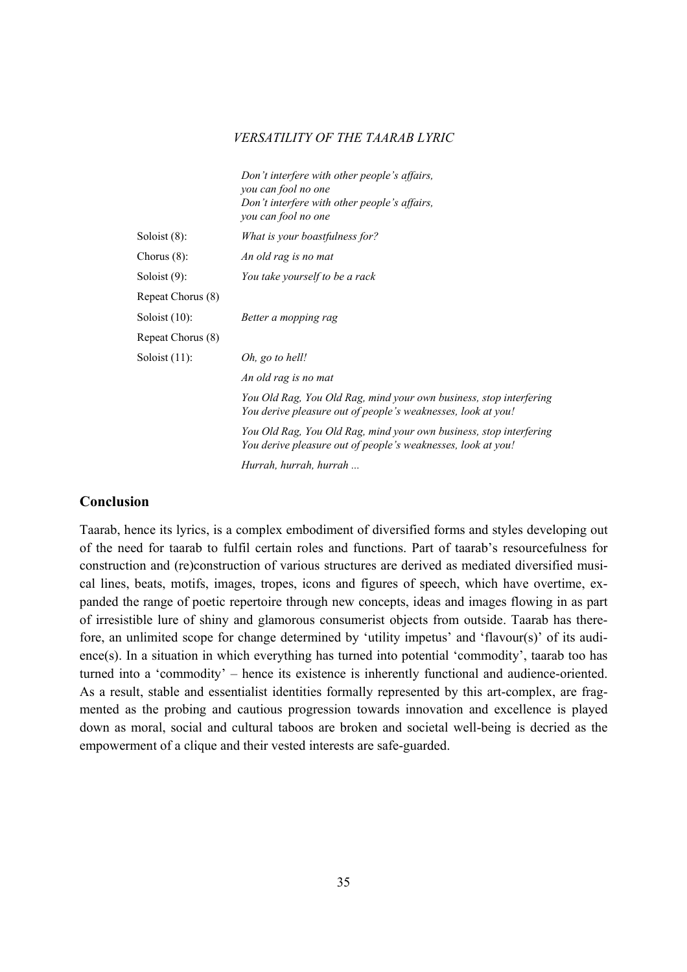|                   | Don't interfere with other people's affairs,<br>you can fool no one<br>Don't interfere with other people's affairs,<br>you can fool no one |
|-------------------|--------------------------------------------------------------------------------------------------------------------------------------------|
| Soloist $(8)$ :   | What is your boastfulness for?                                                                                                             |
| Chorus $(8)$ :    | An old rag is no mat                                                                                                                       |
| Soloist $(9)$ :   | You take yourself to be a rack                                                                                                             |
| Repeat Chorus (8) |                                                                                                                                            |
| Soloist $(10)$ :  | Better a mopping rag                                                                                                                       |
| Repeat Chorus (8) |                                                                                                                                            |
| Soloist $(11)$ :  | Oh, go to hell!                                                                                                                            |
|                   | An old rag is no mat                                                                                                                       |
|                   | You Old Rag, You Old Rag, mind your own business, stop interfering<br>You derive pleasure out of people's weaknesses, look at you!         |
|                   | You Old Rag, You Old Rag, mind your own business, stop interfering<br>You derive pleasure out of people's weaknesses, look at you!         |
|                   |                                                                                                                                            |

 *Hurrah, hurrah, hurrah ...*

# **Conclusion**

Taarab, hence its lyrics, is a complex embodiment of diversified forms and styles developing out of the need for taarab to fulfil certain roles and functions. Part of taarab's resourcefulness for construction and (re)construction of various structures are derived as mediated diversified musical lines, beats, motifs, images, tropes, icons and figures of speech, which have overtime, expanded the range of poetic repertoire through new concepts, ideas and images flowing in as part of irresistible lure of shiny and glamorous consumerist objects from outside. Taarab has therefore, an unlimited scope for change determined by 'utility impetus' and 'flavour(s)' of its audience(s). In a situation in which everything has turned into potential 'commodity', taarab too has turned into a 'commodity' – hence its existence is inherently functional and audience-oriented. As a result, stable and essentialist identities formally represented by this art-complex, are fragmented as the probing and cautious progression towards innovation and excellence is played down as moral, social and cultural taboos are broken and societal well-being is decried as the empowerment of a clique and their vested interests are safe-guarded.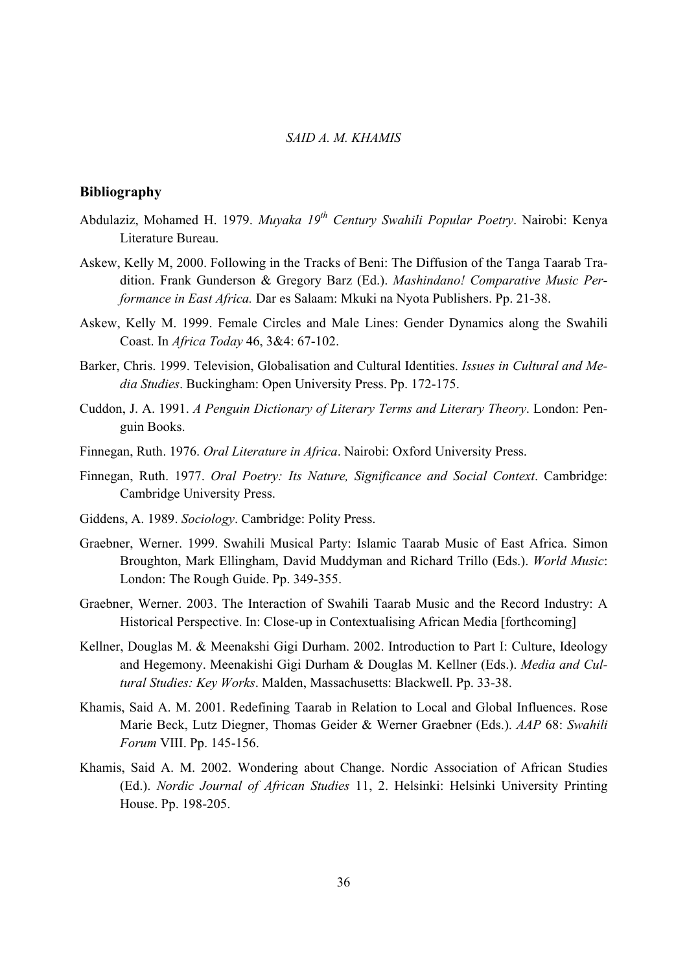# **Bibliography**

- Abdulaziz, Mohamed H. 1979. *Muyaka 19th Century Swahili Popular Poetry*. Nairobi: Kenya Literature Bureau.
- Askew, Kelly M, 2000. Following in the Tracks of Beni: The Diffusion of the Tanga Taarab Tradition. Frank Gunderson & Gregory Barz (Ed.). *Mashindano! Comparative Music Performance in East Africa.* Dar es Salaam: Mkuki na Nyota Publishers. Pp. 21-38.
- Askew, Kelly M. 1999. Female Circles and Male Lines: Gender Dynamics along the Swahili Coast. In *Africa Today* 46, 3&4: 67-102.
- Barker, Chris. 1999. Television, Globalisation and Cultural Identities. *Issues in Cultural and Media Studies*. Buckingham: Open University Press. Pp. 172-175.
- Cuddon, J. A. 1991. *A Penguin Dictionary of Literary Terms and Literary Theory*. London: Penguin Books.
- Finnegan, Ruth. 1976. *Oral Literature in Africa*. Nairobi: Oxford University Press.
- Finnegan, Ruth. 1977. *Oral Poetry: Its Nature, Significance and Social Context*. Cambridge: Cambridge University Press.
- Giddens, A. 1989. *Sociology*. Cambridge: Polity Press.
- Graebner, Werner. 1999. Swahili Musical Party: Islamic Taarab Music of East Africa. Simon Broughton, Mark Ellingham, David Muddyman and Richard Trillo (Eds.). *World Music*: London: The Rough Guide. Pp. 349-355.
- Graebner, Werner. 2003. The Interaction of Swahili Taarab Music and the Record Industry: A Historical Perspective. In: Close-up in Contextualising African Media [forthcoming]
- Kellner, Douglas M. & Meenakshi Gigi Durham. 2002. Introduction to Part I: Culture, Ideology and Hegemony. Meenakishi Gigi Durham & Douglas M. Kellner (Eds.). *Media and Cultural Studies: Key Works*. Malden, Massachusetts: Blackwell. Pp. 33-38.
- Khamis, Said A. M. 2001. Redefining Taarab in Relation to Local and Global Influences. Rose Marie Beck, Lutz Diegner, Thomas Geider & Werner Graebner (Eds.). *AAP* 68: *Swahili Forum* VIII. Pp. 145-156.
- Khamis, Said A. M. 2002. Wondering about Change. Nordic Association of African Studies (Ed.). *Nordic Journal of African Studies* 11, 2. Helsinki: Helsinki University Printing House. Pp. 198-205.